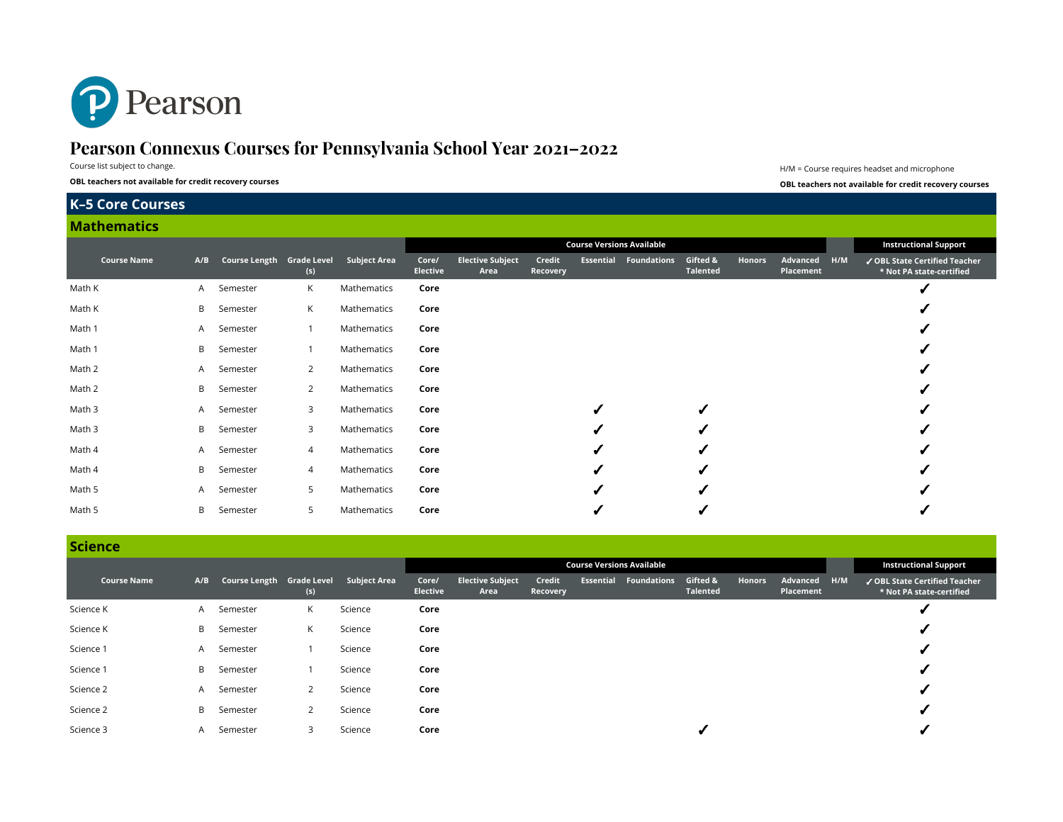

# **Pearson Connexus Courses for Pennsylvania School Year 2021–2022**

Course list subject to change.

**OBL teachers not available for credit recovery courses OBL teachers not available for credit recovery courses**

H/M = Course requires headset and microphone

# **K–5 Core Courses**

#### **Mathematics**

|                    |     |                                        |                |             | <b>Course Versions Available</b> |                                 |                    |  |                              |                      |        |                       |     | <b>Instructional Support</b>                              |
|--------------------|-----|----------------------------------------|----------------|-------------|----------------------------------|---------------------------------|--------------------|--|------------------------------|----------------------|--------|-----------------------|-----|-----------------------------------------------------------|
| <b>Course Name</b> | A/B | Course Length Grade Level Subject Area | (s)            |             | Core/<br>Elective                | <b>Elective Subject</b><br>Area | Credit<br>Recovery |  | <b>Essential Foundations</b> | Gifted &<br>Talented | Honors | Advanced<br>Placement | H/M | ✔ OBL State Certified Teacher<br>* Not PA state-certified |
| Math K             |     | A Semester                             | K              | Mathematics | Core                             |                                 |                    |  |                              |                      |        |                       |     |                                                           |
| Math K             |     | <b>B</b> Semester                      | К              | Mathematics | Core                             |                                 |                    |  |                              |                      |        |                       |     |                                                           |
| Math 1             |     | A Semester                             |                | Mathematics | Core                             |                                 |                    |  |                              |                      |        |                       |     |                                                           |
| Math 1             | B.  | Semester                               |                | Mathematics | Core                             |                                 |                    |  |                              |                      |        |                       |     |                                                           |
| Math 2             |     | A Semester                             | 2              | Mathematics | Core                             |                                 |                    |  |                              |                      |        |                       |     |                                                           |
| Math 2             |     | <b>B</b> Semester                      | 2              | Mathematics | Core                             |                                 |                    |  |                              |                      |        |                       |     |                                                           |
| Math 3             |     | A Semester                             | 3              | Mathematics | Core                             |                                 |                    |  |                              | ✔                    |        |                       |     |                                                           |
| Math 3             | B   | Semester                               | 3              | Mathematics | Core                             |                                 |                    |  |                              | ✔                    |        |                       |     |                                                           |
| Math 4             |     | A Semester                             | $\overline{4}$ | Mathematics | Core                             |                                 |                    |  |                              |                      |        |                       |     |                                                           |
| Math 4             | B   | Semester                               | $\overline{4}$ | Mathematics | Core                             |                                 |                    |  |                              |                      |        |                       |     |                                                           |
| Math 5             |     | A Semester                             | 5              | Mathematics | Core                             |                                 |                    |  |                              |                      |        |                       |     |                                                           |
| Math 5             | B.  | Semester                               | 5              | Mathematics | Core                             |                                 |                    |  |                              |                      |        |                       |     |                                                           |

#### **Science**

| -------            |     |                           |              |              |                          |                                 |                    |           |                                  |                             |        |                       |     |                                                           |
|--------------------|-----|---------------------------|--------------|--------------|--------------------------|---------------------------------|--------------------|-----------|----------------------------------|-----------------------------|--------|-----------------------|-----|-----------------------------------------------------------|
|                    |     |                           |              |              |                          |                                 |                    |           | <b>Course Versions Available</b> |                             |        |                       |     | <b>Instructional Support</b>                              |
| <b>Course Name</b> | A/B | Course Length Grade Level | (s)          | Subject Area | Core/<br><b>Elective</b> | <b>Elective Subject</b><br>Area | Credit<br>Recovery | Essential | <b>Foundations</b>               | Gifted &<br><b>Talented</b> | Honors | Advanced<br>Placement | H/M | ✔ OBL State Certified Teacher<br>* Not PA state-certified |
| Science K          | A   | Semester                  | K            | Science      | Core                     |                                 |                    |           |                                  |                             |        |                       |     |                                                           |
| Science K          | B   | Semester                  | K            | Science      | Core                     |                                 |                    |           |                                  |                             |        |                       |     |                                                           |
| Science 1          | A   | Semester                  |              | Science      | Core                     |                                 |                    |           |                                  |                             |        |                       |     |                                                           |
| Science 1          | B.  | Semester                  |              | Science      | Core                     |                                 |                    |           |                                  |                             |        |                       |     |                                                           |
| Science 2          | A   | Semester                  | 2            | Science      | Core                     |                                 |                    |           |                                  |                             |        |                       |     |                                                           |
| Science 2          | B   | Semester                  | $\mathbf{2}$ | Science      | Core                     |                                 |                    |           |                                  |                             |        |                       |     |                                                           |
| Science 3          | A   | Semester                  | 3            | Science      | Core                     |                                 |                    |           |                                  |                             |        |                       |     |                                                           |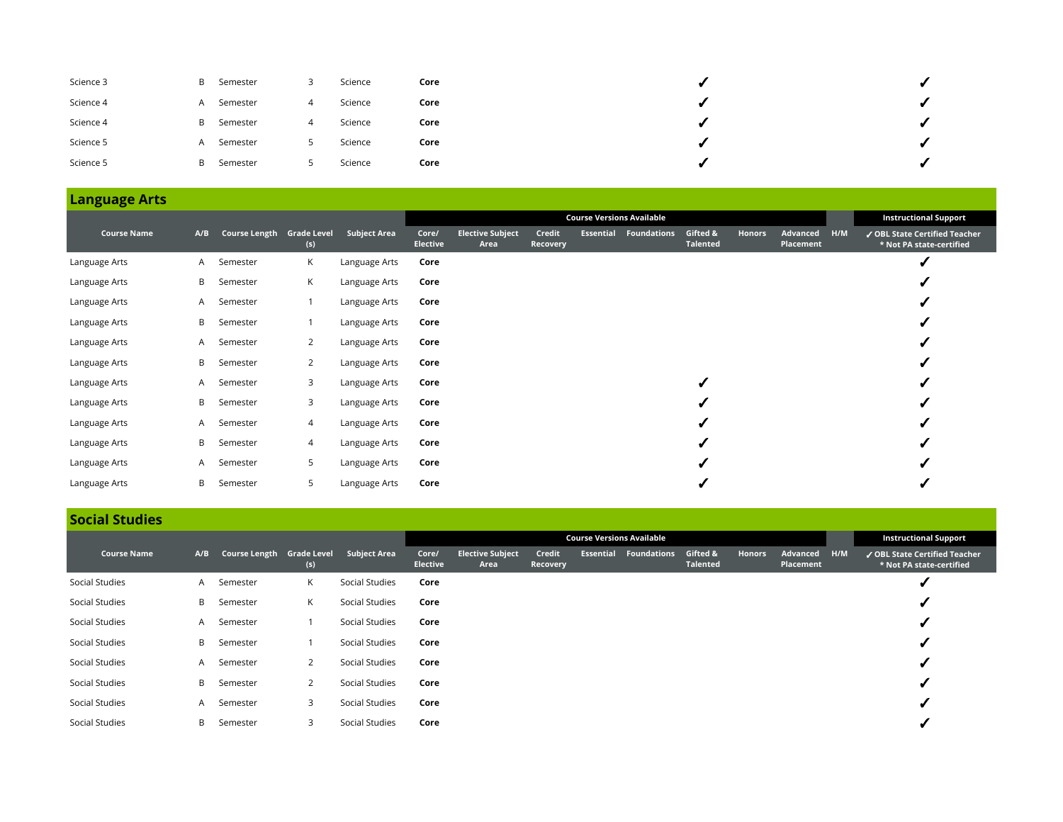| Science 3 | B | Semester | ت | Science | Core |  |
|-----------|---|----------|---|---------|------|--|
| Science 4 | A | Semester | 4 | Science | Core |  |
| Science 4 | B | Semester | 4 | Science | Core |  |
| Science 5 | A | Semester |   | Science | Core |  |
| Science 5 | B | Semester |   | Science | Core |  |

|                    |              |                           |                |                     |                          |                                 |                    |                  | <b>Course Versions Available</b> |                             |        |                       |     | <b>Instructional Support</b>                            |
|--------------------|--------------|---------------------------|----------------|---------------------|--------------------------|---------------------------------|--------------------|------------------|----------------------------------|-----------------------------|--------|-----------------------|-----|---------------------------------------------------------|
| <b>Course Name</b> | A/B          | Course Length Grade Level | (s)            | <b>Subject Area</b> | Core/<br><b>Elective</b> | <b>Elective Subject</b><br>Area | Credit<br>Recovery | <b>Essential</b> | <b>Foundations</b>               | Gifted &<br><b>Talented</b> | Honors | Advanced<br>Placement | H/M | OBL State Certified Teacher<br>* Not PA state-certified |
| Language Arts      | A            | Semester                  | К              | Language Arts       | Core                     |                                 |                    |                  |                                  |                             |        |                       |     |                                                         |
| Language Arts      | B            | Semester                  | К              | Language Arts       | Core                     |                                 |                    |                  |                                  |                             |        |                       |     |                                                         |
| Language Arts      | A            | Semester                  |                | Language Arts       | Core                     |                                 |                    |                  |                                  |                             |        |                       |     |                                                         |
| Language Arts      | B            | Semester                  |                | Language Arts       | Core                     |                                 |                    |                  |                                  |                             |        |                       |     |                                                         |
| Language Arts      | A.           | Semester                  | 2              | Language Arts       | Core                     |                                 |                    |                  |                                  |                             |        |                       |     |                                                         |
| Language Arts      | B            | Semester                  | 2              | Language Arts       | Core                     |                                 |                    |                  |                                  |                             |        |                       |     |                                                         |
| Language Arts      | A            | Semester                  | 3              | Language Arts       | Core                     |                                 |                    |                  |                                  |                             |        |                       |     |                                                         |
| Language Arts      | B            | Semester                  | 3              | Language Arts       | Core                     |                                 |                    |                  |                                  |                             |        |                       |     |                                                         |
| Language Arts      | $\mathsf{A}$ | Semester                  | $\overline{4}$ | Language Arts       | Core                     |                                 |                    |                  |                                  |                             |        |                       |     |                                                         |
| Language Arts      | B            | Semester                  | $\overline{4}$ | Language Arts       | Core                     |                                 |                    |                  |                                  |                             |        |                       |     |                                                         |
| Language Arts      | A            | Semester                  | 5              | Language Arts       | Core                     |                                 |                    |                  |                                  |                             |        |                       |     |                                                         |
| Language Arts      | B            | Semester                  | 5              | Language Arts       | Core                     |                                 |                    |                  |                                  |                             |        |                       |     |                                                         |

## **Social Studies**

|                    |     |                           |                |                |                          |                                 |                           |                  | <b>Instructional Support</b> |                             |               |                       |     |                                                           |
|--------------------|-----|---------------------------|----------------|----------------|--------------------------|---------------------------------|---------------------------|------------------|------------------------------|-----------------------------|---------------|-----------------------|-----|-----------------------------------------------------------|
| <b>Course Name</b> | A/B | Course Length Grade Level | (s)            | Subject Area   | Core/<br><b>Elective</b> | <b>Elective Subject</b><br>Area | Credit<br><b>Recovery</b> | <b>Essential</b> | <b>Foundations</b>           | Gifted &<br><b>Talented</b> | <b>Honors</b> | Advanced<br>Placement | H/M | ✔ OBL State Certified Teacher<br>* Not PA state-certified |
| Social Studies     | A   | Semester                  | K              | Social Studies | Core                     |                                 |                           |                  |                              |                             |               |                       |     |                                                           |
| Social Studies     | B.  | Semester                  | K              | Social Studies | Core                     |                                 |                           |                  |                              |                             |               |                       |     |                                                           |
| Social Studies     | A.  | Semester                  |                | Social Studies | Core                     |                                 |                           |                  |                              |                             |               |                       |     |                                                           |
| Social Studies     | B   | Semester                  |                | Social Studies | Core                     |                                 |                           |                  |                              |                             |               |                       |     |                                                           |
| Social Studies     | A   | Semester                  | $\overline{2}$ | Social Studies | Core                     |                                 |                           |                  |                              |                             |               |                       |     |                                                           |
| Social Studies     | B   | Semester                  | 2              | Social Studies | Core                     |                                 |                           |                  |                              |                             |               |                       |     |                                                           |
| Social Studies     | A.  | Semester                  | 3              | Social Studies | Core                     |                                 |                           |                  |                              |                             |               |                       |     |                                                           |
| Social Studies     | B   | Semester                  | 3              | Social Studies | Core                     |                                 |                           |                  |                              |                             |               |                       |     |                                                           |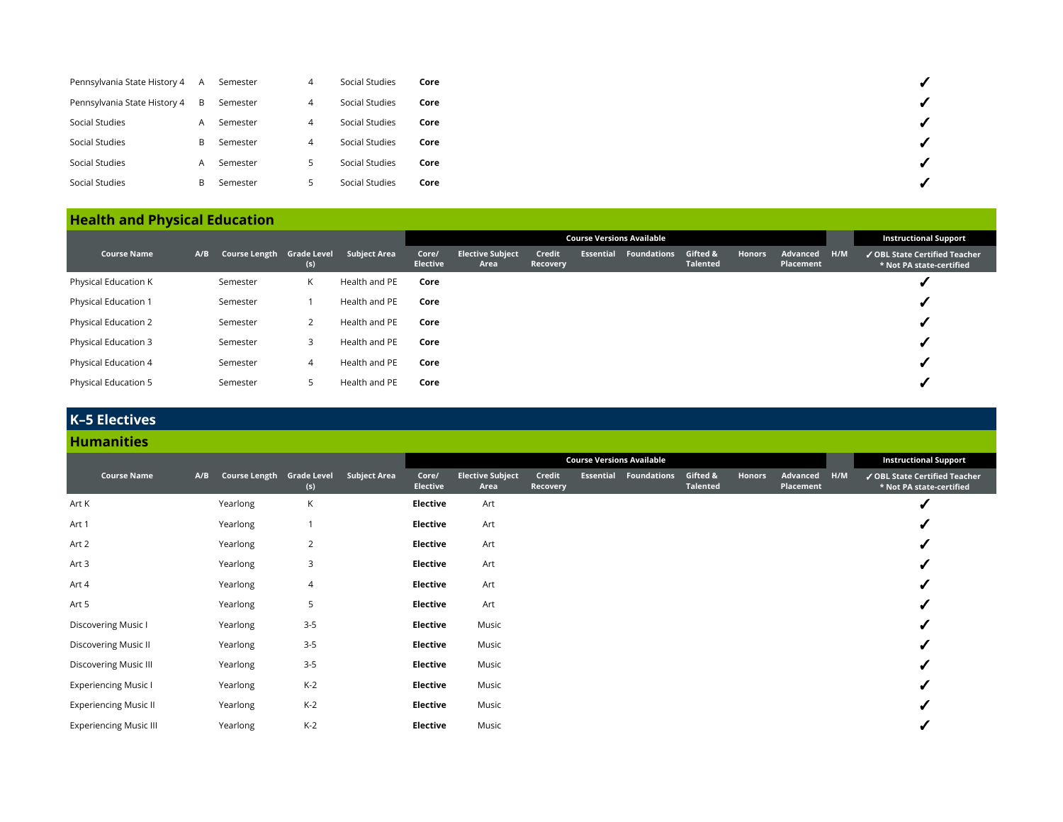| Pennsylvania State History 4 | A | Semester | 4 | Social Studies | Core |
|------------------------------|---|----------|---|----------------|------|
| Pennsylvania State History 4 | B | Semester | 4 | Social Studies | Core |
| Social Studies               | A | Semester | 4 | Social Studies | Core |
| Social Studies               | B | Semester | 4 | Social Studies | Core |
| Social Studies               | A | Semester | כ | Social Studies | Core |
| Social Studies               | B | Semester | כ | Social Studies | Core |

# **Health and Physical Education**

|                      |     |                           |     |                     |                          |                                 |                    |           | <b>Course Versions Available</b> |                             |               |                       |     | <b>Instructional Support</b>                              |
|----------------------|-----|---------------------------|-----|---------------------|--------------------------|---------------------------------|--------------------|-----------|----------------------------------|-----------------------------|---------------|-----------------------|-----|-----------------------------------------------------------|
| <b>Course Name</b>   | A/B | Course Length Grade Level | (s) | <b>Subject Area</b> | Core/<br><b>Elective</b> | <b>Elective Subject</b><br>Area | Credit<br>Recovery | Essential | <b>Foundations</b>               | Gifted &<br><b>Talented</b> | <b>Honors</b> | Advanced<br>Placement | H/M | ✔ OBL State Certified Teacher<br>* Not PA state-certified |
| Physical Education K |     | Semester                  | K   | Health and PE       | Core                     |                                 |                    |           |                                  |                             |               |                       |     |                                                           |
| Physical Education 1 |     | Semester                  |     | Health and PE       | Core                     |                                 |                    |           |                                  |                             |               |                       |     |                                                           |
| Physical Education 2 |     | Semester                  |     | Health and PE       | Core                     |                                 |                    |           |                                  |                             |               |                       |     |                                                           |
| Physical Education 3 |     | Semester                  | 3   | Health and PE       | Core                     |                                 |                    |           |                                  |                             |               |                       |     |                                                           |
| Physical Education 4 |     | Semester                  | 4   | Health and PE       | Core                     |                                 |                    |           |                                  |                             |               |                       |     |                                                           |
| Physical Education 5 |     | Semester                  | 5   | Health and PE       | Core                     |                                 |                    |           |                                  |                             |               |                       |     |                                                           |

# **K–5 Electives**

## **Humanities**

|                               |     |                           |                |                     | <b>Course Versions Available</b> |                                 |                    |           |                    |                             |        |                       |     | <b>Instructional Support</b>                              |
|-------------------------------|-----|---------------------------|----------------|---------------------|----------------------------------|---------------------------------|--------------------|-----------|--------------------|-----------------------------|--------|-----------------------|-----|-----------------------------------------------------------|
| <b>Course Name</b>            | A/B | Course Length Grade Level | (s)            | <b>Subject Area</b> | Core/<br>Elective                | <b>Elective Subject</b><br>Area | Credit<br>Recovery | Essential | <b>Foundations</b> | Gifted &<br><b>Talented</b> | Honors | Advanced<br>Placement | H/M | √ OBL State Certified Teacher<br>* Not PA state-certified |
| Art K                         |     | Yearlong                  | К              |                     | Elective                         | Art                             |                    |           |                    |                             |        |                       |     |                                                           |
| Art 1                         |     | Yearlong                  |                |                     | Elective                         | Art                             |                    |           |                    |                             |        |                       |     |                                                           |
| Art 2                         |     | Yearlong                  | $\overline{2}$ |                     | Elective                         | Art                             |                    |           |                    |                             |        |                       |     |                                                           |
| Art 3                         |     | Yearlong                  | 3              |                     | <b>Elective</b>                  | Art                             |                    |           |                    |                             |        |                       |     |                                                           |
| Art 4                         |     | Yearlong                  | 4              |                     | Elective                         | Art                             |                    |           |                    |                             |        |                       |     |                                                           |
| Art 5                         |     | Yearlong                  | 5              |                     | Elective                         | Art                             |                    |           |                    |                             |        |                       |     |                                                           |
| Discovering Music I           |     | Yearlong                  | $3 - 5$        |                     | Elective                         | Music                           |                    |           |                    |                             |        |                       |     |                                                           |
| Discovering Music II          |     | Yearlong                  | $3 - 5$        |                     | Elective                         | Music                           |                    |           |                    |                             |        |                       |     |                                                           |
| <b>Discovering Music III</b>  |     | Yearlong                  | $3 - 5$        |                     | Elective                         | Music                           |                    |           |                    |                             |        |                       |     |                                                           |
| <b>Experiencing Music I</b>   |     | Yearlong                  | $K-2$          |                     | Elective                         | Music                           |                    |           |                    |                             |        |                       |     |                                                           |
| <b>Experiencing Music II</b>  |     | Yearlong                  | $K-2$          |                     | Elective                         | Music                           |                    |           |                    |                             |        |                       |     |                                                           |
| <b>Experiencing Music III</b> |     | Yearlong                  | $K-2$          |                     | Elective                         | Music                           |                    |           |                    |                             |        |                       |     |                                                           |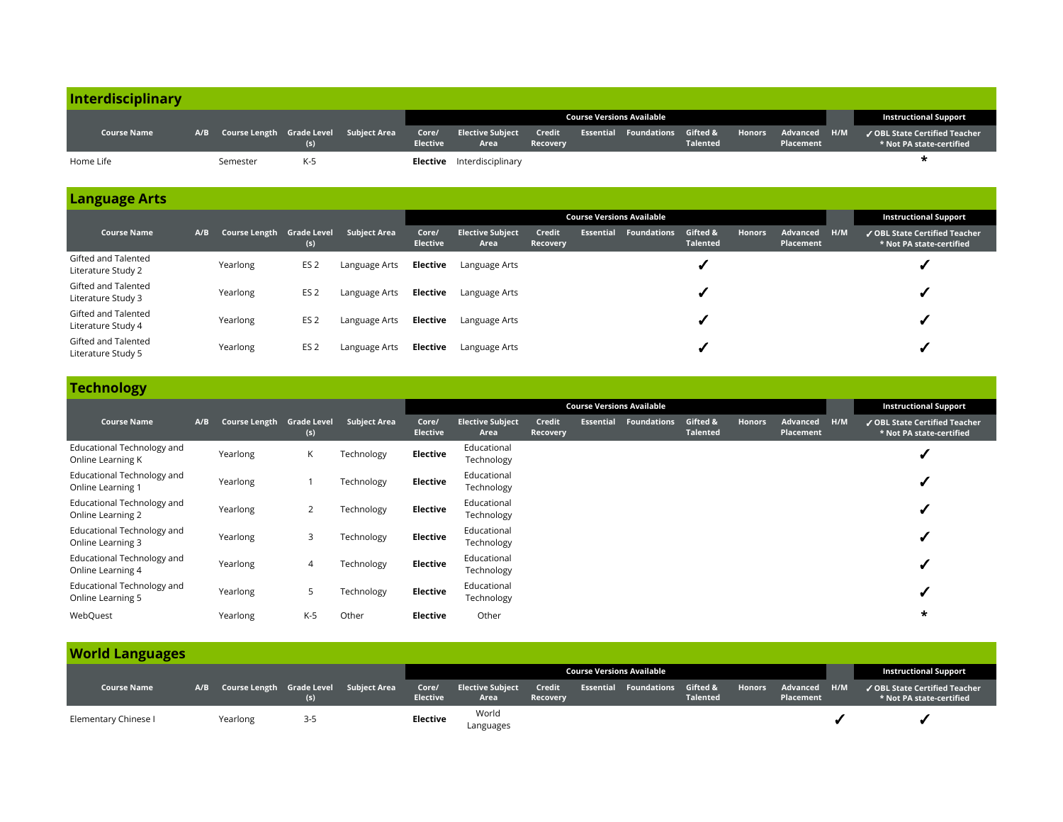| Interdisciplinary  |                                            |     |                 |                                   |                           |                                           |                 |                                  |                                                           |
|--------------------|--------------------------------------------|-----|-----------------|-----------------------------------|---------------------------|-------------------------------------------|-----------------|----------------------------------|-----------------------------------------------------------|
|                    |                                            |     |                 |                                   |                           | <b>Course Versions Available</b>          |                 |                                  | <b>Instructional Support</b>                              |
| <b>Course Name</b> | A/B Course Length Grade Level Subject Area | (s) | <b>Elective</b> | Core/ Elective Subject<br>Area    | Credit<br><b>Recoverv</b> | <b>Essential Foundations Gifted &amp;</b> | <b>Talented</b> | Honors Advanced H/M<br>Placement | √ OBL State Certified Teacher<br>* Not PA state-certified |
| Home Life          | Semester                                   | K-5 |                 | <b>Elective</b> Interdisciplinary |                           |                                           |                 |                                  |                                                           |

|                                           |     |                           |                 |                     |                          |                                 |                    | <b>Course Versions Available</b> |                              |                             |               | <b>Instructional Support</b> |     |                                                                         |
|-------------------------------------------|-----|---------------------------|-----------------|---------------------|--------------------------|---------------------------------|--------------------|----------------------------------|------------------------------|-----------------------------|---------------|------------------------------|-----|-------------------------------------------------------------------------|
| <b>Course Name</b>                        | A/B | Course Length Grade Level | (s)             | <b>Subiect Area</b> | Core/<br><b>Elective</b> | <b>Elective Subject</b><br>Area | Credit<br>Recovery |                                  | <b>Essential Foundations</b> | Gifted &<br><b>Talented</b> | <b>Honors</b> | Advanced<br>Placement        | H/M | $\sqrt{\text{OBL}}$ State Certified Teacher<br>* Not PA state-certified |
| Gifted and Talented<br>Literature Study 2 |     | Yearlong                  | ES <sub>2</sub> | Language Arts       | Elective                 | Language Arts                   |                    |                                  |                              |                             |               |                              |     |                                                                         |
| Gifted and Talented<br>Literature Study 3 |     | Yearlong                  | ES <sub>2</sub> | Language Arts       | Elective                 | Language Arts                   |                    |                                  |                              |                             |               |                              |     |                                                                         |
| Gifted and Talented<br>Literature Study 4 |     | Yearlong                  | ES <sub>2</sub> | Language Arts       | Elective                 | Language Arts                   |                    |                                  |                              |                             |               |                              |     |                                                                         |
| Gifted and Talented<br>Literature Study 5 |     | Yearlong                  | ES <sub>2</sub> | Language Arts       | Elective                 | Language Arts                   |                    |                                  |                              |                             |               |                              |     |                                                                         |

## **Technology**

|                                                 |     |                           |                |                     | <b>Course Versions Available</b> |                                 |                    |           |                    |                             |               |                       |     | <b>Instructional Support</b>                              |
|-------------------------------------------------|-----|---------------------------|----------------|---------------------|----------------------------------|---------------------------------|--------------------|-----------|--------------------|-----------------------------|---------------|-----------------------|-----|-----------------------------------------------------------|
| <b>Course Name</b>                              | A/B | Course Length Grade Level | (s)            | <b>Subject Area</b> | Core/<br><b>Elective</b>         | <b>Elective Subject</b><br>Area | Credit<br>Recovery | Essential | <b>Foundations</b> | Gifted &<br><b>Talented</b> | <b>Honors</b> | Advanced<br>Placement | H/M | ✔ OBL State Certified Teacher<br>* Not PA state-certified |
| Educational Technology and<br>Online Learning K |     | Yearlong                  | K              | Technology          | Elective                         | Educational<br>Technology       |                    |           |                    |                             |               |                       |     |                                                           |
| Educational Technology and<br>Online Learning 1 |     | Yearlong                  |                | Technology          | Elective                         | Educational<br>Technology       |                    |           |                    |                             |               |                       |     |                                                           |
| Educational Technology and<br>Online Learning 2 |     | Yearlong                  | 2              | Technology          | Elective                         | Educational<br>Technology       |                    |           |                    |                             |               |                       |     |                                                           |
| Educational Technology and<br>Online Learning 3 |     | Yearlong                  | 3              | Technology          | Elective                         | Educational<br>Technology       |                    |           |                    |                             |               |                       |     |                                                           |
| Educational Technology and<br>Online Learning 4 |     | Yearlong                  | $\overline{4}$ | Technology          | Elective                         | Educational<br>Technology       |                    |           |                    |                             |               |                       |     |                                                           |
| Educational Technology and<br>Online Learning 5 |     | Yearlong                  | 5              | Technology          | Elective                         | Educational<br>Technology       |                    |           |                    |                             |               |                       |     |                                                           |
| WebQuest                                        |     | Yearlong                  | $K-5$          | Other               | Elective                         | Other                           |                    |           |                    |                             |               |                       |     | $\star$                                                   |

## **World Languages**

|                      |                                            |      |                          |                                 |                    | <b>Course Versions Available</b>          |                 |                                  | <b>Instructional Support</b>                              |
|----------------------|--------------------------------------------|------|--------------------------|---------------------------------|--------------------|-------------------------------------------|-----------------|----------------------------------|-----------------------------------------------------------|
| <b>Course Name</b>   | A/B Course Length Grade Level Subject Area | (s)  | Core/<br><b>Elective</b> | <b>Elective Subject</b><br>Area | Credit<br>Recovery | <b>Essential Foundations Gifted &amp;</b> | <b>Talented</b> | Honors Advanced H/M<br>Placement | ✔ OBL State Certified Teacher<br>* Not PA state-certified |
| Elementary Chinese I | Yearlong                                   | -3-5 | Elective                 | World<br>Languages              |                    |                                           |                 |                                  |                                                           |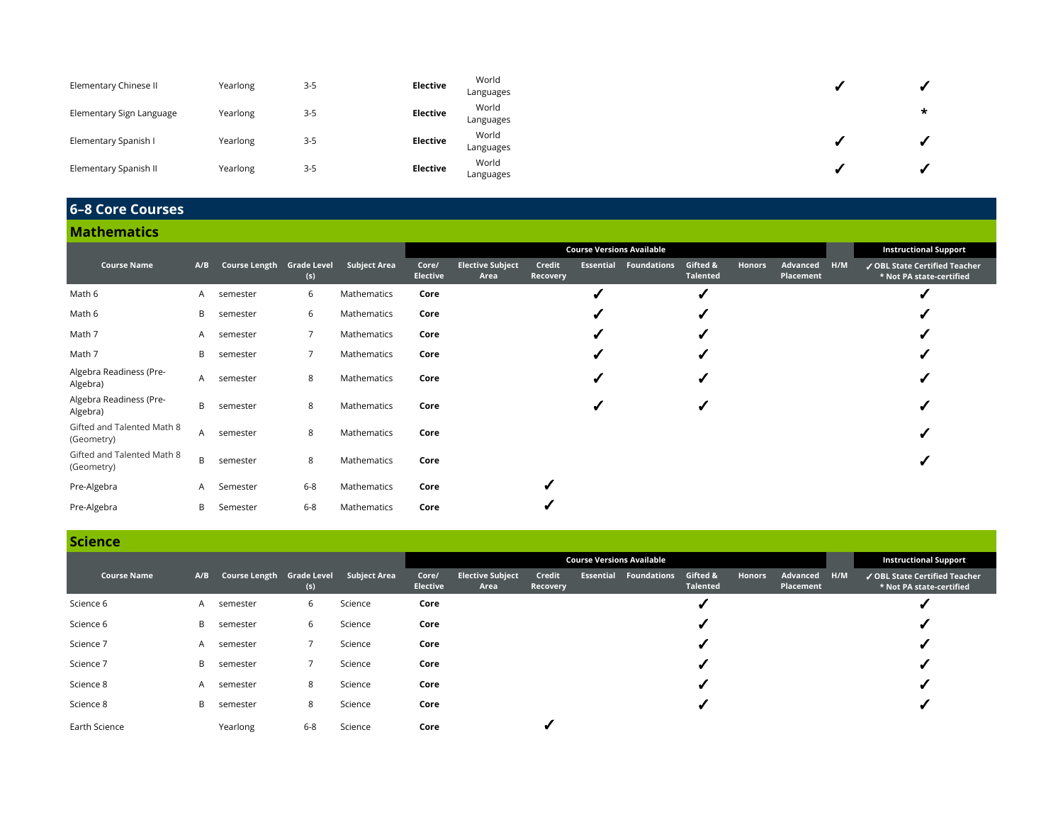| Elementary Chinese II    | Yearlong | $3-5$   | <b>Elective</b> | World<br>Languages |   |
|--------------------------|----------|---------|-----------------|--------------------|---|
| Elementary Sign Language | Yearlong | $3 - 5$ | <b>Elective</b> | World<br>Languages | * |
| Elementary Spanish I     | Yearlong | $3-5$   | Elective        | World<br>Languages |   |
| Elementary Spanish II    | Yearlong | $3 - 5$ | <b>Elective</b> | World<br>Languages |   |

# **6–8 Core Courses**

| <b>Mathematics</b>                       |              |                           |                |                     |                          |                                 |                           |   |                                  |                             |        |                       |     |                                                           |
|------------------------------------------|--------------|---------------------------|----------------|---------------------|--------------------------|---------------------------------|---------------------------|---|----------------------------------|-----------------------------|--------|-----------------------|-----|-----------------------------------------------------------|
|                                          |              |                           |                |                     |                          |                                 |                           |   | <b>Course Versions Available</b> |                             |        |                       |     | <b>Instructional Support</b>                              |
| <b>Course Name</b>                       | A/B          | Course Length Grade Level | (s)            | <b>Subject Area</b> | Core/<br><b>Elective</b> | <b>Elective Subject</b><br>Area | Credit<br><b>Recovery</b> |   | <b>Essential Foundations</b>     | Gifted &<br><b>Talented</b> | Honors | Advanced<br>Placement | H/M | √ OBL State Certified Teacher<br>* Not PA state-certified |
| Math 6                                   | A.           | semester                  | 6              | Mathematics         | Core                     |                                 |                           | √ |                                  |                             |        |                       |     |                                                           |
| Math 6                                   | B            | semester                  | 6              | Mathematics         | Core                     |                                 |                           | √ |                                  |                             |        |                       |     |                                                           |
| Math 7                                   | A            | semester                  | $\overline{7}$ | Mathematics         | Core                     |                                 |                           |   |                                  |                             |        |                       |     |                                                           |
| Math 7                                   | В            | semester                  | -7             | Mathematics         | Core                     |                                 |                           |   |                                  |                             |        |                       |     |                                                           |
| Algebra Readiness (Pre-<br>Algebra)      | $\mathsf{A}$ | semester                  | 8              | Mathematics         | Core                     |                                 |                           | ✔ |                                  |                             |        |                       |     |                                                           |
| Algebra Readiness (Pre-<br>Algebra)      | B            | semester                  | 8              | Mathematics         | Core                     |                                 |                           |   |                                  |                             |        |                       |     |                                                           |
| Gifted and Talented Math 8<br>(Geometry) | $\mathsf{A}$ | semester                  | 8              | Mathematics         | Core                     |                                 |                           |   |                                  |                             |        |                       |     |                                                           |
| Gifted and Talented Math 8<br>(Geometry) | B            | semester                  | 8              | Mathematics         | Core                     |                                 |                           |   |                                  |                             |        |                       |     |                                                           |
| Pre-Algebra                              | $\mathsf{A}$ | Semester                  | $6 - 8$        | Mathematics         | Core                     |                                 | √                         |   |                                  |                             |        |                       |     |                                                           |
| Pre-Algebra                              | B            | Semester                  | $6 - 8$        | Mathematics         | Core                     |                                 |                           |   |                                  |                             |        |                       |     |                                                           |

## **Science**

|                    |     |                           |         |              |                          |                                 |                    |           | <b>Course Versions Available</b> |                             |        |                           | <b>Instructional Support</b>                              |
|--------------------|-----|---------------------------|---------|--------------|--------------------------|---------------------------------|--------------------|-----------|----------------------------------|-----------------------------|--------|---------------------------|-----------------------------------------------------------|
| <b>Course Name</b> | A/B | Course Length Grade Level | (s)     | Subject Area | Core/<br><b>Elective</b> | <b>Elective Subject</b><br>Area | Credit<br>Recovery | Essential | <b>Foundations</b>               | Gifted &<br><b>Talented</b> | Honors | Advanced H/M<br>Placement | ✔ OBL State Certified Teacher<br>* Not PA state-certified |
| Science 6          | A   | semester                  | 6       | Science      | Core                     |                                 |                    |           |                                  |                             |        |                           |                                                           |
| Science 6          | B   | semester                  | 6       | Science      | Core                     |                                 |                    |           |                                  |                             |        |                           |                                                           |
| Science 7          | A   | semester                  |         | Science      | Core                     |                                 |                    |           |                                  |                             |        |                           |                                                           |
| Science 7          | B   | semester                  |         | Science      | Core                     |                                 |                    |           |                                  |                             |        |                           |                                                           |
| Science 8          | A   | semester                  | 8       | Science      | Core                     |                                 |                    |           |                                  |                             |        |                           |                                                           |
| Science 8          | B   | semester                  | 8       | Science      | Core                     |                                 |                    |           |                                  |                             |        |                           |                                                           |
| Earth Science      |     | Yearlong                  | $6 - 8$ | Science      | Core                     |                                 |                    |           |                                  |                             |        |                           |                                                           |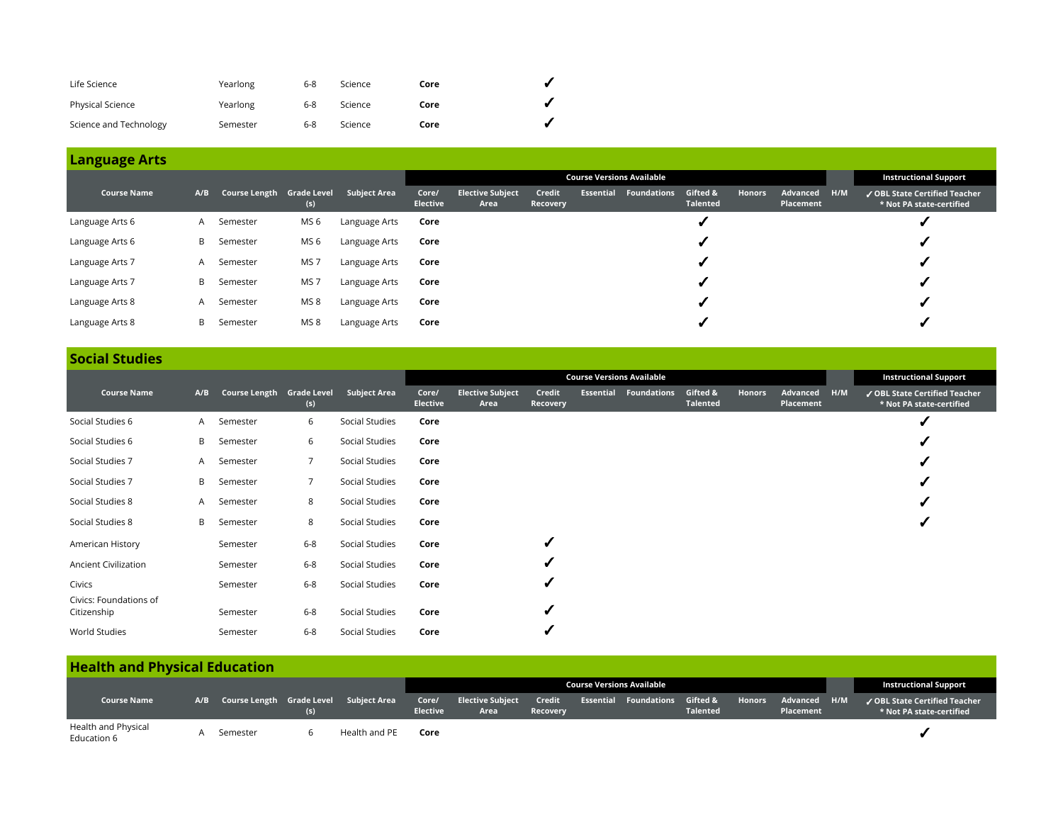| Life Science            | Yearlong | 6-8     | Science | Core |  |
|-------------------------|----------|---------|---------|------|--|
| <b>Physical Science</b> | Yearlong | $6 - 8$ | Science | Core |  |
| Science and Technology  | Semester | 6-8     | Science | Core |  |

|                    |     |                           |                 |                     |                          |                                 |                    |           | <b>Course Versions Available</b> |                             |               |                       |     | <b>Instructional Support</b>                              |
|--------------------|-----|---------------------------|-----------------|---------------------|--------------------------|---------------------------------|--------------------|-----------|----------------------------------|-----------------------------|---------------|-----------------------|-----|-----------------------------------------------------------|
| <b>Course Name</b> | A/B | Course Length Grade Level | (s)             | <b>Subject Area</b> | Core/<br><b>Elective</b> | <b>Elective Subject</b><br>Area | Credit<br>Recovery | Essential | Foundations                      | Gifted &<br><b>Talented</b> | <b>Honors</b> | Advanced<br>Placement | H/M | ✔ OBL State Certified Teacher<br>* Not PA state-certified |
| Language Arts 6    | A   | Semester                  | MS <sub>6</sub> | Language Arts       | Core                     |                                 |                    |           |                                  |                             |               |                       |     |                                                           |
| Language Arts 6    | B   | Semester                  | MS 6            | Language Arts       | Core                     |                                 |                    |           |                                  |                             |               |                       |     |                                                           |
| Language Arts 7    | A   | Semester                  | MS <sub>7</sub> | Language Arts       | Core                     |                                 |                    |           |                                  |                             |               |                       |     |                                                           |
| Language Arts 7    | B   | Semester                  | MS <sub>7</sub> | Language Arts       | Core                     |                                 |                    |           |                                  |                             |               |                       |     |                                                           |
| Language Arts 8    | A   | Semester                  | MS <sub>8</sub> | Language Arts       | Core                     |                                 |                    |           |                                  |                             |               |                       |     |                                                           |
| Language Arts 8    | B   | Semester                  | MS <sub>8</sub> | Language Arts       | Core                     |                                 |                    |           |                                  |                             |               |                       |     |                                                           |

# **Social Studies**

|                                       |     |                           |                |                     |                          |                                 |                    | <b>Course Versions Available</b> |                             |               |                       |     | <b>Instructional Support</b>                              |
|---------------------------------------|-----|---------------------------|----------------|---------------------|--------------------------|---------------------------------|--------------------|----------------------------------|-----------------------------|---------------|-----------------------|-----|-----------------------------------------------------------|
| <b>Course Name</b>                    | A/B | Course Length Grade Level | (s)            | <b>Subject Area</b> | Core/<br><b>Elective</b> | <b>Elective Subject</b><br>Area | Credit<br>Recovery | <b>Essential Foundations</b>     | Gifted &<br><b>Talented</b> | <b>Honors</b> | Advanced<br>Placement | H/M | ✔ OBL State Certified Teacher<br>* Not PA state-certified |
| Social Studies 6                      |     | A Semester                | 6              | Social Studies      | Core                     |                                 |                    |                                  |                             |               |                       |     |                                                           |
| Social Studies 6                      |     | <b>B</b> Semester         | 6              | Social Studies      | Core                     |                                 |                    |                                  |                             |               |                       |     |                                                           |
| Social Studies 7                      |     | A Semester                | $\overline{7}$ | Social Studies      | Core                     |                                 |                    |                                  |                             |               |                       |     |                                                           |
| Social Studies 7                      |     | <b>B</b> Semester         | $\overline{7}$ | Social Studies      | Core                     |                                 |                    |                                  |                             |               |                       |     |                                                           |
| Social Studies 8                      |     | A Semester                | 8              | Social Studies      | Core                     |                                 |                    |                                  |                             |               |                       |     |                                                           |
| Social Studies 8                      | B.  | Semester                  | 8              | Social Studies      | Core                     |                                 |                    |                                  |                             |               |                       |     |                                                           |
| American History                      |     | Semester                  | $6 - 8$        | Social Studies      | Core                     |                                 | ۷                  |                                  |                             |               |                       |     |                                                           |
| <b>Ancient Civilization</b>           |     | Semester                  | $6-8$          | Social Studies      | Core                     |                                 | √                  |                                  |                             |               |                       |     |                                                           |
| Civics                                |     | Semester                  | $6-8$          | Social Studies      | Core                     |                                 |                    |                                  |                             |               |                       |     |                                                           |
| Civics: Foundations of<br>Citizenship |     | Semester                  | $6-8$          | Social Studies      | Core                     |                                 | √                  |                                  |                             |               |                       |     |                                                           |
| World Studies                         |     | Semester                  | $6-8$          | Social Studies      | Core                     |                                 |                    |                                  |                             |               |                       |     |                                                           |

# **Health and Physical Education**

|                                    |                                            |     |               |                          |                                 |                           | Course Versions Available    |                             |                                  | <b>Instructional Support</b>                              |
|------------------------------------|--------------------------------------------|-----|---------------|--------------------------|---------------------------------|---------------------------|------------------------------|-----------------------------|----------------------------------|-----------------------------------------------------------|
| <b>Course Name</b>                 | A/B Course Length Grade Level Subject Area | (S) |               | Core/<br><b>Elective</b> | <b>Elective Subject</b><br>Area | Credit<br><b>Recoverv</b> | <b>Essential Foundations</b> | Gifted &<br><b>Talented</b> | Honors Advanced H/M<br>Placement | ✔ OBL State Certified Teacher<br>* Not PA state-certified |
| Health and Physical<br>Education 6 | Semester                                   |     | Health and PE | Core                     |                                 |                           |                              |                             |                                  |                                                           |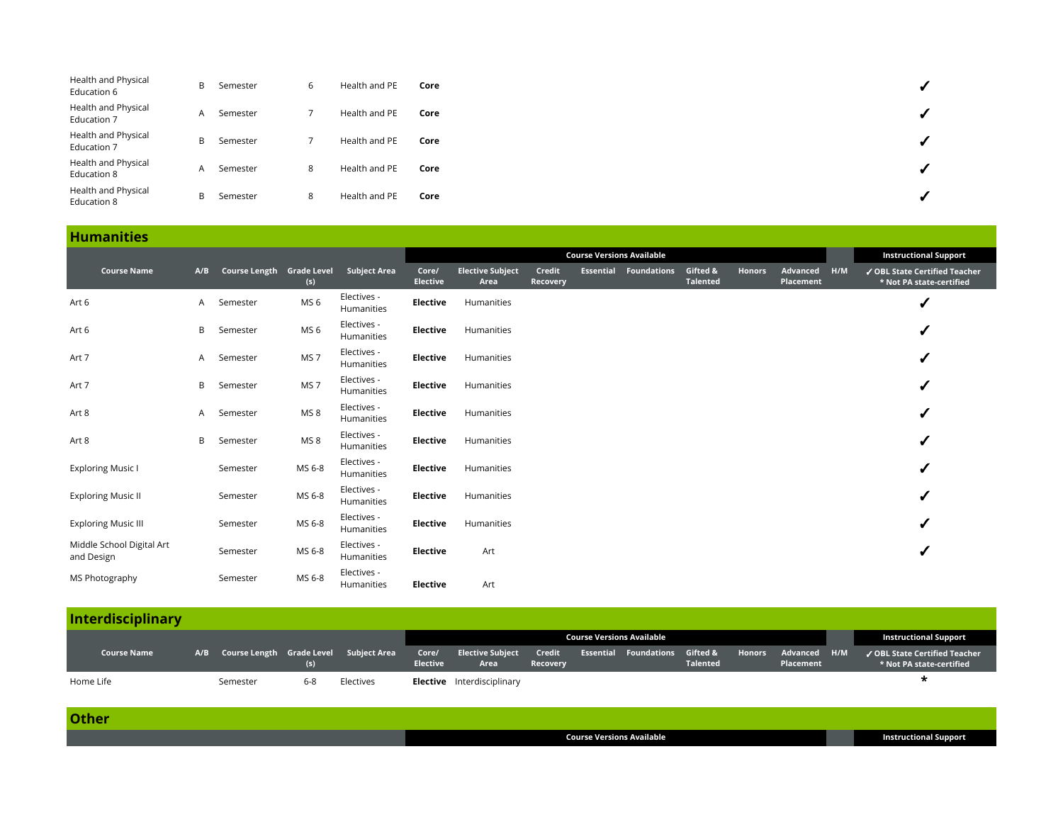| Health and Physical<br>Education 6 | B | Semester | ь | Health and PE | Core |  |
|------------------------------------|---|----------|---|---------------|------|--|
| Health and Physical<br>Education 7 | A | Semester |   | Health and PE | Core |  |
| Health and Physical<br>Education 7 | B | Semester |   | Health and PE | Core |  |
| Health and Physical<br>Education 8 | A | Semester | 8 | Health and PE | Core |  |
| Health and Physical<br>Education 8 | B | Semester | 8 | Health and PE | Core |  |

## **Humanities**

|                                         |     |                           |                 |                           |                          |                                 |                           |                  | <b>Course Versions Available</b> |                             |               |                       |     | <b>Instructional Support</b>                              |
|-----------------------------------------|-----|---------------------------|-----------------|---------------------------|--------------------------|---------------------------------|---------------------------|------------------|----------------------------------|-----------------------------|---------------|-----------------------|-----|-----------------------------------------------------------|
| <b>Course Name</b>                      | A/B | Course Length Grade Level | (s)             | <b>Subject Area</b>       | Core/<br><b>Elective</b> | <b>Elective Subject</b><br>Area | Credit<br><b>Recovery</b> | <b>Essential</b> | <b>Foundations</b>               | Gifted &<br><b>Talented</b> | <b>Honors</b> | Advanced<br>Placement | H/M | √ OBL State Certified Teacher<br>* Not PA state-certified |
| Art 6                                   | A   | Semester                  | MS <sub>6</sub> | Electives -<br>Humanities | Elective                 | Humanities                      |                           |                  |                                  |                             |               |                       |     | √                                                         |
| Art 6                                   | B   | Semester                  | MS <sub>6</sub> | Electives -<br>Humanities | Elective                 | Humanities                      |                           |                  |                                  |                             |               |                       |     | √                                                         |
| Art 7                                   | A.  | Semester                  | MS <sub>7</sub> | Electives -<br>Humanities | Elective                 | Humanities                      |                           |                  |                                  |                             |               |                       |     | √                                                         |
| Art 7                                   | B   | Semester                  | MS <sub>7</sub> | Electives -<br>Humanities | Elective                 | Humanities                      |                           |                  |                                  |                             |               |                       |     | √                                                         |
| Art 8                                   | A   | Semester                  | MS <sub>8</sub> | Electives -<br>Humanities | Elective                 | Humanities                      |                           |                  |                                  |                             |               |                       |     | ✔                                                         |
| Art 8                                   | B   | Semester                  | MS <sub>8</sub> | Electives -<br>Humanities | Elective                 | Humanities                      |                           |                  |                                  |                             |               |                       |     | ✔                                                         |
| <b>Exploring Music I</b>                |     | Semester                  | MS 6-8          | Electives -<br>Humanities | Elective                 | Humanities                      |                           |                  |                                  |                             |               |                       |     | ✔                                                         |
| <b>Exploring Music II</b>               |     | Semester                  | MS 6-8          | Electives -<br>Humanities | Elective                 | Humanities                      |                           |                  |                                  |                             |               |                       |     | ✔                                                         |
| <b>Exploring Music III</b>              |     | Semester                  | MS 6-8          | Electives -<br>Humanities | Elective                 | Humanities                      |                           |                  |                                  |                             |               |                       |     | ✔                                                         |
| Middle School Digital Art<br>and Design |     | Semester                  | MS 6-8          | Electives -<br>Humanities | <b>Elective</b>          | Art                             |                           |                  |                                  |                             |               |                       |     |                                                           |
| MS Photography                          |     | Semester                  | MS 6-8          | Electives -<br>Humanities | Elective                 | Art                             |                           |                  |                                  |                             |               |                       |     |                                                           |

# **Interdisciplinary**

|                    |          |     |                                            |                 |                                       |                 | <b>Course Versions Available</b>          |                 |                                  | <b>Instructional Support</b>                                         |
|--------------------|----------|-----|--------------------------------------------|-----------------|---------------------------------------|-----------------|-------------------------------------------|-----------------|----------------------------------|----------------------------------------------------------------------|
| <b>Course Name</b> |          |     | A/B Course Length Grade Level Subject Area | <b>Elective</b> | Core/ Elective Subject Credit<br>Area | <b>Recovery</b> | <b>Essential Foundations Gifted &amp;</b> | <b>Talented</b> | Honors Advanced H/M<br>Placement | $\checkmark$ OBL State Certified Teacher<br>* Not PA state-certified |
| Home Life          | Semester | 6-8 | Electives                                  |                 | <b>Elective</b> Interdisciplinary     |                 |                                           |                 |                                  |                                                                      |

| . . | and the control |
|-----|-----------------|

| <b>Course Versions Available</b> |  |
|----------------------------------|--|

**Constructional Support**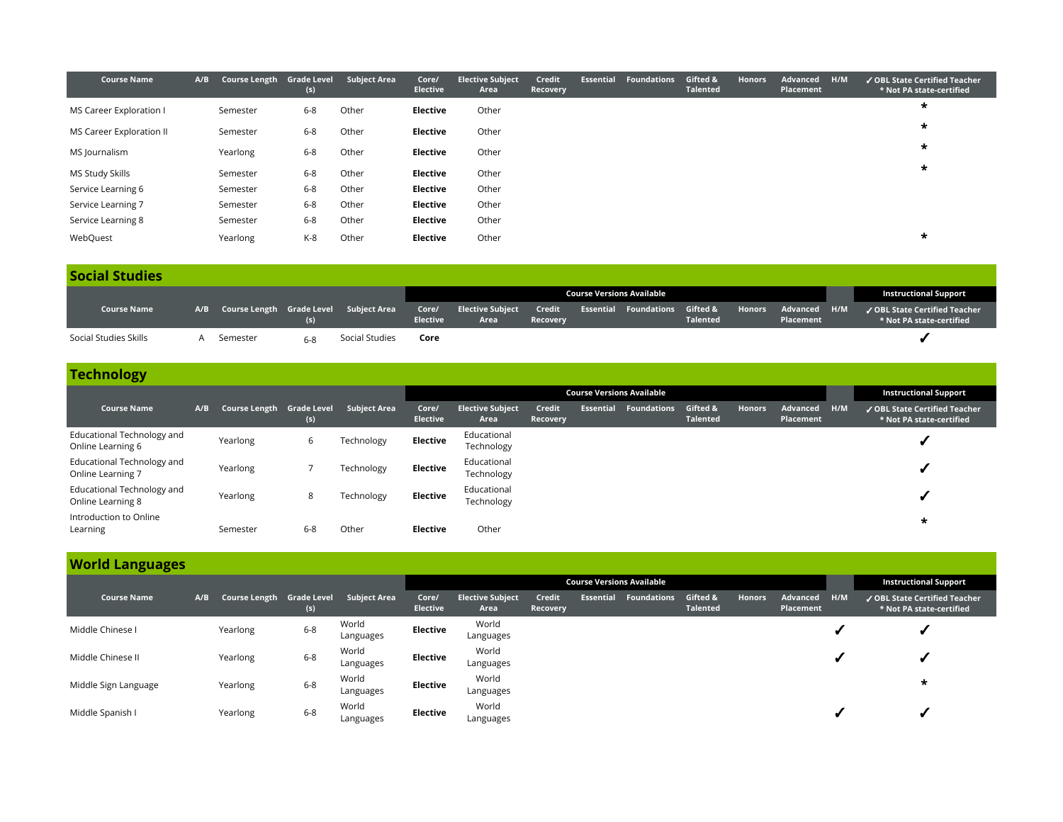| <b>Course Name</b>       | A/B | Course Length Grade Level | (s)     | <b>Subject Area</b> | Core/<br><b>Elective</b> | <b>Elective Subject</b><br>Area | Credit<br><b>Recovery</b> | <b>Essential</b> | <b>Foundations</b> | Gifted &<br><b>Talented</b> | <b>Honors</b> | Advanced<br>Placement | H/M | ✔ OBL State Certified Teacher<br>* Not PA state-certified |
|--------------------------|-----|---------------------------|---------|---------------------|--------------------------|---------------------------------|---------------------------|------------------|--------------------|-----------------------------|---------------|-----------------------|-----|-----------------------------------------------------------|
| MS Career Exploration I  |     | Semester                  | $6 - 8$ | Other               | Elective                 | Other                           |                           |                  |                    |                             |               |                       |     | $\star$                                                   |
| MS Career Exploration II |     | Semester                  | $6 - 8$ | Other               | Elective                 | Other                           |                           |                  |                    |                             |               |                       |     | $\star$                                                   |
| MS Journalism            |     | Yearlong                  | $6 - 8$ | Other               | <b>Elective</b>          | Other                           |                           |                  |                    |                             |               |                       |     | $\star$                                                   |
| MS Study Skills          |     | Semester                  | $6 - 8$ | Other               | Elective                 | Other                           |                           |                  |                    |                             |               |                       |     | $\star$                                                   |
| Service Learning 6       |     | Semester                  | $6 - 8$ | Other               | Elective                 | Other                           |                           |                  |                    |                             |               |                       |     |                                                           |
| Service Learning 7       |     | Semester                  | $6 - 8$ | Other               | Elective                 | Other                           |                           |                  |                    |                             |               |                       |     |                                                           |
| Service Learning 8       |     | Semester                  | $6 - 8$ | Other               | Elective                 | Other                           |                           |                  |                    |                             |               |                       |     |                                                           |
| WebQuest                 |     | Yearlong                  | K-8     | Other               | <b>Elective</b>          | Other                           |                           |                  |                    |                             |               |                       |     | $\star$                                                   |

### **Social Studies**

|                       |                                            |       |                |                 |                                |                           | Course Versions Available                 |                 |                                  | <b>Instructional Support</b>                              |
|-----------------------|--------------------------------------------|-------|----------------|-----------------|--------------------------------|---------------------------|-------------------------------------------|-----------------|----------------------------------|-----------------------------------------------------------|
| <b>Course Name</b>    | A/B Course Length Grade Level Subject Area |       |                | <b>Elective</b> | Core/ Elective Subject<br>Area | Credit<br><b>Recoverv</b> | <b>Essential Foundations Gifted &amp;</b> | <b>Talented</b> | Honors Advanced H/M<br>Placement | ✔ OBL State Certified Teacher<br>* Not PA state-certified |
| Social Studies Skills | Semester                                   | $6-8$ | Social Studies | Core            |                                |                           |                                           |                 |                                  |                                                           |

# **Technology**

|                                                 |     |                           |            |                     | <b>Course Versions Available</b> |                                 |                           |                  |                      |                             |               |                       |     | <b>Instructional Support</b>                              |
|-------------------------------------------------|-----|---------------------------|------------|---------------------|----------------------------------|---------------------------------|---------------------------|------------------|----------------------|-----------------------------|---------------|-----------------------|-----|-----------------------------------------------------------|
| <b>Course Name</b>                              | A/B | Course Length Grade Level | (s)        | <b>Subject Area</b> | Core/<br><b>Elective</b>         | <b>Elective Subject</b><br>Area | Credit<br><b>Recovery</b> | <b>Essential</b> | Foundations <b>b</b> | Gifted &<br><b>Talented</b> | <b>Honors</b> | Advanced<br>Placement | H/M | ✔ OBL State Certified Teacher<br>* Not PA state-certified |
| Educational Technology and<br>Online Learning 6 |     | Yearlong                  | $\epsilon$ | Technology          | Elective                         | Educational<br>Technology       |                           |                  |                      |                             |               |                       |     |                                                           |
| Educational Technology and<br>Online Learning 7 |     | Yearlong                  |            | Technology          | Elective                         | Educational<br>Technology       |                           |                  |                      |                             |               |                       |     |                                                           |
| Educational Technology and<br>Online Learning 8 |     | Yearlong                  | 8          | Technology          | Elective                         | Educational<br>Technology       |                           |                  |                      |                             |               |                       |     |                                                           |
| Introduction to Online<br>Learning              |     | Semester                  | $6 - 8$    | Other               | <b>Elective</b>                  | Other                           |                           |                  |                      |                             |               |                       |     | $\star$                                                   |

# **World Languages**

|                      |     |                           |         |                     |                          |                                 |                    |           | <b>Course Versions Available</b> |                             |               |                       |     | <b>Instructional Support</b>                                                    |
|----------------------|-----|---------------------------|---------|---------------------|--------------------------|---------------------------------|--------------------|-----------|----------------------------------|-----------------------------|---------------|-----------------------|-----|---------------------------------------------------------------------------------|
| <b>Course Name</b>   | A/B | Course Length Grade Level | (s)     | <b>Subject Area</b> | Core/<br><b>Elective</b> | <b>Elective Subject</b><br>Area | Credit<br>Recovery | Essential | Foundations                      | Gifted &<br><b>Talented</b> | <b>Honors</b> | Advanced<br>Placement | H/M | $\sqrt{\,}$ OBL State Certified Teacher $^{\prime}$<br>* Not PA state-certified |
| Middle Chinese I     |     | Yearlong                  | $6 - 8$ | World<br>Languages  | <b>Elective</b>          | World<br>Languages              |                    |           |                                  |                             |               |                       |     |                                                                                 |
| Middle Chinese II    |     | Yearlong                  | $6 - 8$ | World<br>Languages  | Elective                 | World<br>Languages              |                    |           |                                  |                             |               |                       |     |                                                                                 |
| Middle Sign Language |     | Yearlong                  | $6 - 8$ | World<br>Languages  | <b>Elective</b>          | World<br>Languages              |                    |           |                                  |                             |               |                       |     | $\star$                                                                         |
| Middle Spanish I     |     | Yearlong                  | $6 - 8$ | World<br>Languages  | Elective                 | World<br>Languages              |                    |           |                                  |                             |               |                       |     |                                                                                 |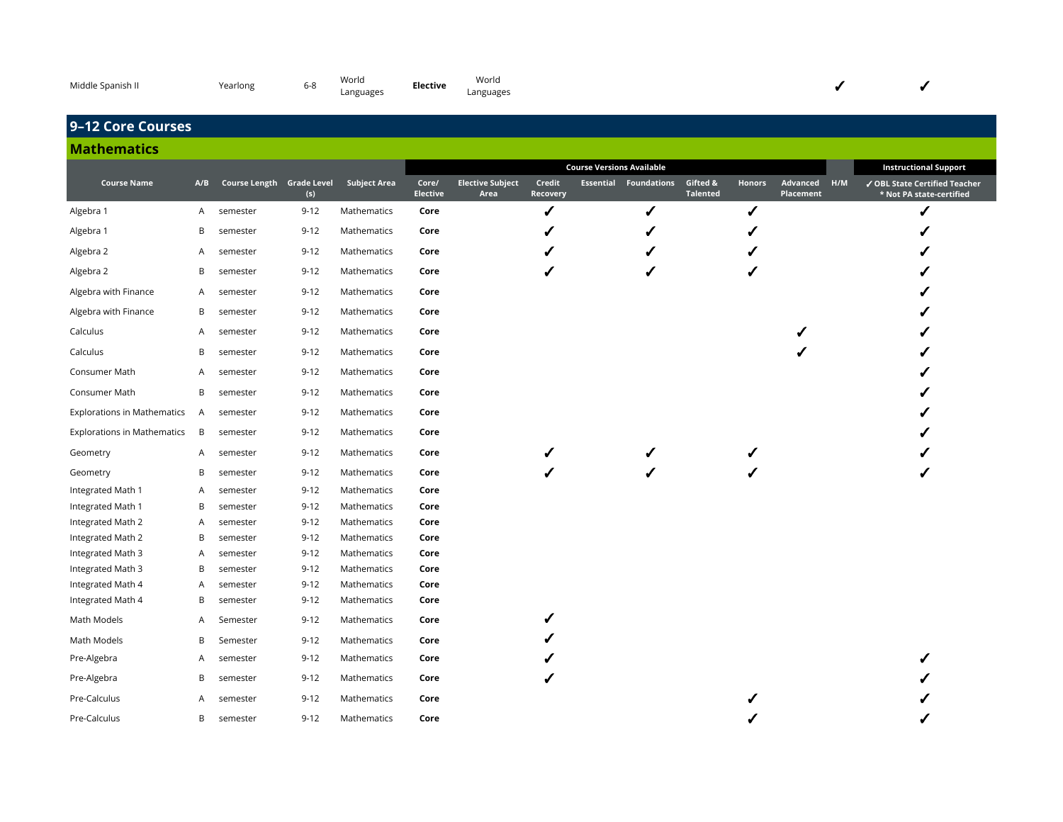| Middle Spanish II | Yearlong | ৩-୪ | World<br>Languages | <b>Elective</b> | Worla<br>Languages |  |  |  |  |
|-------------------|----------|-----|--------------------|-----------------|--------------------|--|--|--|--|
|-------------------|----------|-----|--------------------|-----------------|--------------------|--|--|--|--|

# **9–12 Core Courses**

### **Mathematics**

|                                    |     |                           |          |                     |                          |                                 |                    | <b>Course Versions Available</b> |                              |                             |               |                           | <b>Instructional Support</b>                              |
|------------------------------------|-----|---------------------------|----------|---------------------|--------------------------|---------------------------------|--------------------|----------------------------------|------------------------------|-----------------------------|---------------|---------------------------|-----------------------------------------------------------|
| <b>Course Name</b>                 | A/B | Course Length Grade Level | (s)      | <b>Subject Area</b> | Core/<br><b>Elective</b> | <b>Elective Subject</b><br>Area | Credit<br>Recovery |                                  | <b>Essential Foundations</b> | Gifted &<br><b>Talented</b> | <b>Honors</b> | Advanced H/M<br>Placement | ✔ OBL State Certified Teacher<br>* Not PA state-certified |
| Algebra 1                          | A   | semester                  | $9 - 12$ | Mathematics         | Core                     |                                 | ✔                  |                                  | ✔                            |                             | ✔             |                           | ✔                                                         |
| Algebra 1                          | В   | semester                  | $9 - 12$ | Mathematics         | Core                     |                                 |                    |                                  |                              |                             |               |                           |                                                           |
| Algebra 2                          | A   | semester                  | $9 - 12$ | Mathematics         | Core                     |                                 |                    |                                  |                              |                             |               |                           |                                                           |
| Algebra 2                          | B   | semester                  | $9 - 12$ | Mathematics         | Core                     |                                 |                    |                                  | ✔                            |                             | ✔             |                           |                                                           |
| Algebra with Finance               | A   | semester                  | $9 - 12$ | Mathematics         | Core                     |                                 |                    |                                  |                              |                             |               |                           |                                                           |
| Algebra with Finance               | B   | semester                  | $9 - 12$ | Mathematics         | Core                     |                                 |                    |                                  |                              |                             |               |                           |                                                           |
| Calculus                           | A   | semester                  | $9 - 12$ | Mathematics         | Core                     |                                 |                    |                                  |                              |                             |               |                           |                                                           |
| Calculus                           | B   | semester                  | $9 - 12$ | Mathematics         | Core                     |                                 |                    |                                  |                              |                             |               |                           |                                                           |
| Consumer Math                      | A   | semester                  | $9 - 12$ | Mathematics         | Core                     |                                 |                    |                                  |                              |                             |               |                           |                                                           |
| Consumer Math                      | B   | semester                  | $9 - 12$ | Mathematics         | Core                     |                                 |                    |                                  |                              |                             |               |                           |                                                           |
| <b>Explorations in Mathematics</b> | A   | semester                  | $9 - 12$ | Mathematics         | Core                     |                                 |                    |                                  |                              |                             |               |                           |                                                           |
| <b>Explorations in Mathematics</b> | B   | semester                  | $9 - 12$ | Mathematics         | Core                     |                                 |                    |                                  |                              |                             |               |                           |                                                           |
| Geometry                           | A   | semester                  | $9 - 12$ | Mathematics         | Core                     |                                 |                    |                                  |                              |                             |               |                           |                                                           |
| Geometry                           | В   | semester                  | $9 - 12$ | Mathematics         | Core                     |                                 |                    |                                  |                              |                             |               |                           |                                                           |
| Integrated Math 1                  | A   | semester                  | $9 - 12$ | Mathematics         | Core                     |                                 |                    |                                  |                              |                             |               |                           |                                                           |
| Integrated Math 1                  | В   | semester                  | $9 - 12$ | Mathematics         | Core                     |                                 |                    |                                  |                              |                             |               |                           |                                                           |
| Integrated Math 2                  | A   | semester                  | $9 - 12$ | Mathematics         | Core                     |                                 |                    |                                  |                              |                             |               |                           |                                                           |
| Integrated Math 2                  | В   | semester                  | $9 - 12$ | Mathematics         | Core                     |                                 |                    |                                  |                              |                             |               |                           |                                                           |
| Integrated Math 3                  | Α   | semester                  | $9 - 12$ | Mathematics         | Core                     |                                 |                    |                                  |                              |                             |               |                           |                                                           |
| Integrated Math 3                  | В   | semester                  | $9 - 12$ | Mathematics         | Core                     |                                 |                    |                                  |                              |                             |               |                           |                                                           |
| Integrated Math 4                  | Α   | semester                  | $9 - 12$ | Mathematics         | Core                     |                                 |                    |                                  |                              |                             |               |                           |                                                           |
| Integrated Math 4                  | В   | semester                  | $9 - 12$ | Mathematics         | Core                     |                                 |                    |                                  |                              |                             |               |                           |                                                           |
| Math Models                        | A   | Semester                  | $9 - 12$ | Mathematics         | Core                     |                                 |                    |                                  |                              |                             |               |                           |                                                           |
| Math Models                        | B   | Semester                  | $9 - 12$ | Mathematics         | Core                     |                                 |                    |                                  |                              |                             |               |                           |                                                           |
| Pre-Algebra                        | A   | semester                  | $9 - 12$ | Mathematics         | Core                     |                                 |                    |                                  |                              |                             |               |                           |                                                           |
| Pre-Algebra                        | В   | semester                  | $9 - 12$ | Mathematics         | Core                     |                                 |                    |                                  |                              |                             |               |                           |                                                           |
| Pre-Calculus                       | Α   | semester                  | $9 - 12$ | Mathematics         | Core                     |                                 |                    |                                  |                              |                             |               |                           |                                                           |
| Pre-Calculus                       | B   | semester                  | $9 - 12$ | Mathematics         | Core                     |                                 |                    |                                  |                              |                             |               |                           |                                                           |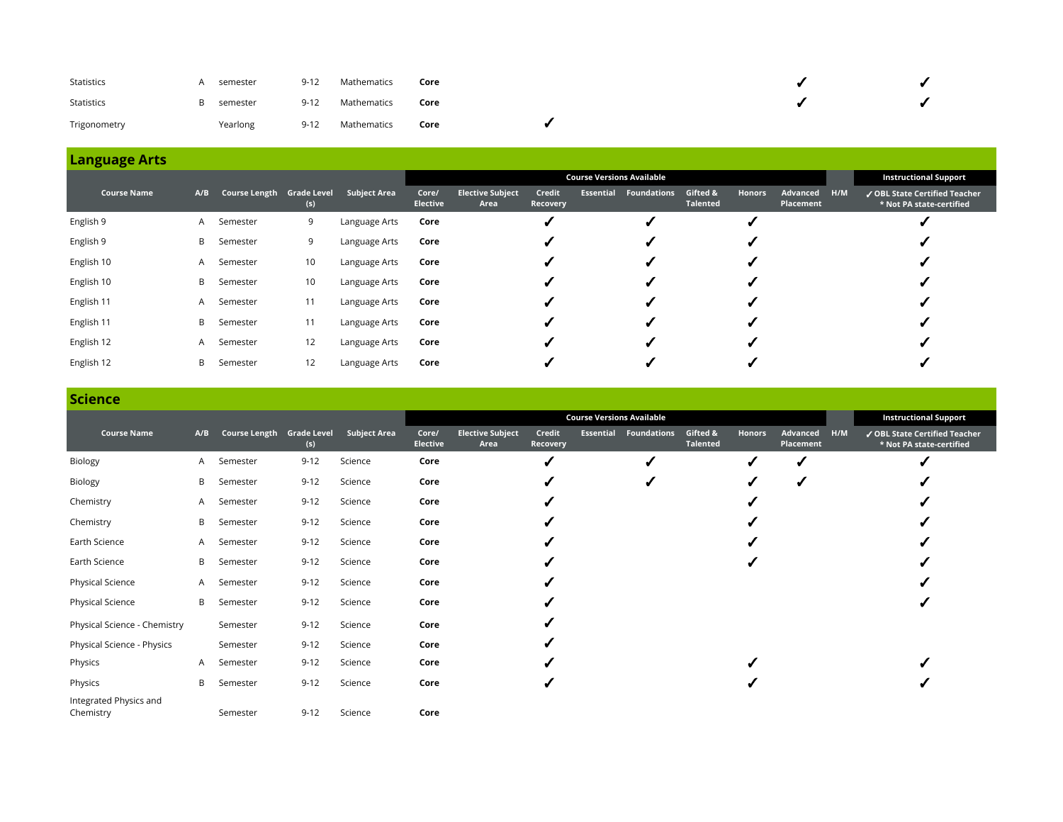| Statistics        | semester | $9 - 12$ | Mathematics | Core |  |  |
|-------------------|----------|----------|-------------|------|--|--|
| <b>Statistics</b> | semester | $9 - 12$ | Mathematics | Core |  |  |
| Trigonometry      | Yearlong | $9 - 12$ | Mathematics | Core |  |  |

|                    |     |                           |     |                     |                          |                                 |                    |                  | <b>Course Versions Available</b> |                             |               |                       |     | <b>Instructional Support</b>                              |
|--------------------|-----|---------------------------|-----|---------------------|--------------------------|---------------------------------|--------------------|------------------|----------------------------------|-----------------------------|---------------|-----------------------|-----|-----------------------------------------------------------|
| <b>Course Name</b> | A/B | Course Length Grade Level | (s) | <b>Subject Area</b> | Core/<br><b>Elective</b> | <b>Elective Subject</b><br>Area | Credit<br>Recovery | <b>Essential</b> | <b>Foundations</b>               | Gifted &<br><b>Talented</b> | <b>Honors</b> | Advanced<br>Placement | H/M | √ OBL State Certified Teacher<br>* Not PA state-certified |
| English 9          | A   | Semester                  | 9   | Language Arts       | Core                     |                                 |                    |                  |                                  |                             |               |                       |     |                                                           |
| English 9          | B   | Semester                  | 9   | Language Arts       | Core                     |                                 |                    |                  |                                  |                             |               |                       |     |                                                           |
| English 10         | A   | Semester                  | 10  | Language Arts       | Core                     |                                 |                    |                  |                                  |                             |               |                       |     |                                                           |
| English 10         | B.  | Semester                  | 10  | Language Arts       | Core                     |                                 |                    |                  |                                  |                             |               |                       |     |                                                           |
| English 11         | A   | Semester                  | 11  | Language Arts       | Core                     |                                 |                    |                  |                                  |                             |               |                       |     |                                                           |
| English 11         | B   | Semester                  | 11  | Language Arts       | Core                     |                                 |                    |                  |                                  |                             |               |                       |     |                                                           |
| English 12         | A   | Semester                  | 12  | Language Arts       | Core                     |                                 |                    |                  |                                  |                             |               |                       |     |                                                           |
| English 12         | B   | Semester                  | 12  | Language Arts       | Core                     |                                 |                    |                  |                                  |                             |               |                       |     |                                                           |

### **Science**

|                                     |              |                           |          |                     |                   |                                 |                    |                  | <b>Course Versions Available</b> |                      |               |                       |     | <b>Instructional Support</b>                              |
|-------------------------------------|--------------|---------------------------|----------|---------------------|-------------------|---------------------------------|--------------------|------------------|----------------------------------|----------------------|---------------|-----------------------|-----|-----------------------------------------------------------|
| <b>Course Name</b>                  | A/B          | Course Length Grade Level | (s)      | <b>Subject Area</b> | Core/<br>Elective | <b>Elective Subject</b><br>Area | Credit<br>Recovery | <b>Essential</b> | <b>Foundations</b>               | Gifted &<br>Talented | <b>Honors</b> | Advanced<br>Placement | H/M | ✔ OBL State Certified Teacher<br>* Not PA state-certified |
| Biology                             | A            | Semester                  | $9 - 12$ | Science             | Core              |                                 |                    |                  |                                  |                      | J             | ر                     |     |                                                           |
| Biology                             | B            | Semester                  | $9 - 12$ | Science             | Core              |                                 |                    |                  | v                                |                      | √             | ✔                     |     |                                                           |
| Chemistry                           | A            | Semester                  | $9 - 12$ | Science             | Core              |                                 |                    |                  |                                  |                      |               |                       |     |                                                           |
| Chemistry                           | B            | Semester                  | $9 - 12$ | Science             | Core              |                                 |                    |                  |                                  |                      |               |                       |     |                                                           |
| Earth Science                       | $\mathsf{A}$ | Semester                  | $9 - 12$ | Science             | Core              |                                 |                    |                  |                                  |                      |               |                       |     |                                                           |
| Earth Science                       | B            | Semester                  | $9 - 12$ | Science             | Core              |                                 |                    |                  |                                  |                      |               |                       |     |                                                           |
| Physical Science                    | A            | Semester                  | $9 - 12$ | Science             | Core              |                                 |                    |                  |                                  |                      |               |                       |     |                                                           |
| <b>Physical Science</b>             | B            | Semester                  | $9 - 12$ | Science             | Core              |                                 |                    |                  |                                  |                      |               |                       |     |                                                           |
| Physical Science - Chemistry        |              | Semester                  | $9 - 12$ | Science             | Core              |                                 |                    |                  |                                  |                      |               |                       |     |                                                           |
| Physical Science - Physics          |              | Semester                  | $9 - 12$ | Science             | Core              |                                 |                    |                  |                                  |                      |               |                       |     |                                                           |
| Physics                             | A            | Semester                  | $9 - 12$ | Science             | Core              |                                 |                    |                  |                                  |                      |               |                       |     |                                                           |
| Physics                             | B            | Semester                  | $9 - 12$ | Science             | Core              |                                 |                    |                  |                                  |                      |               |                       |     |                                                           |
| Integrated Physics and<br>Chemistry |              | Semester                  | $9 - 12$ | Science             | Core              |                                 |                    |                  |                                  |                      |               |                       |     |                                                           |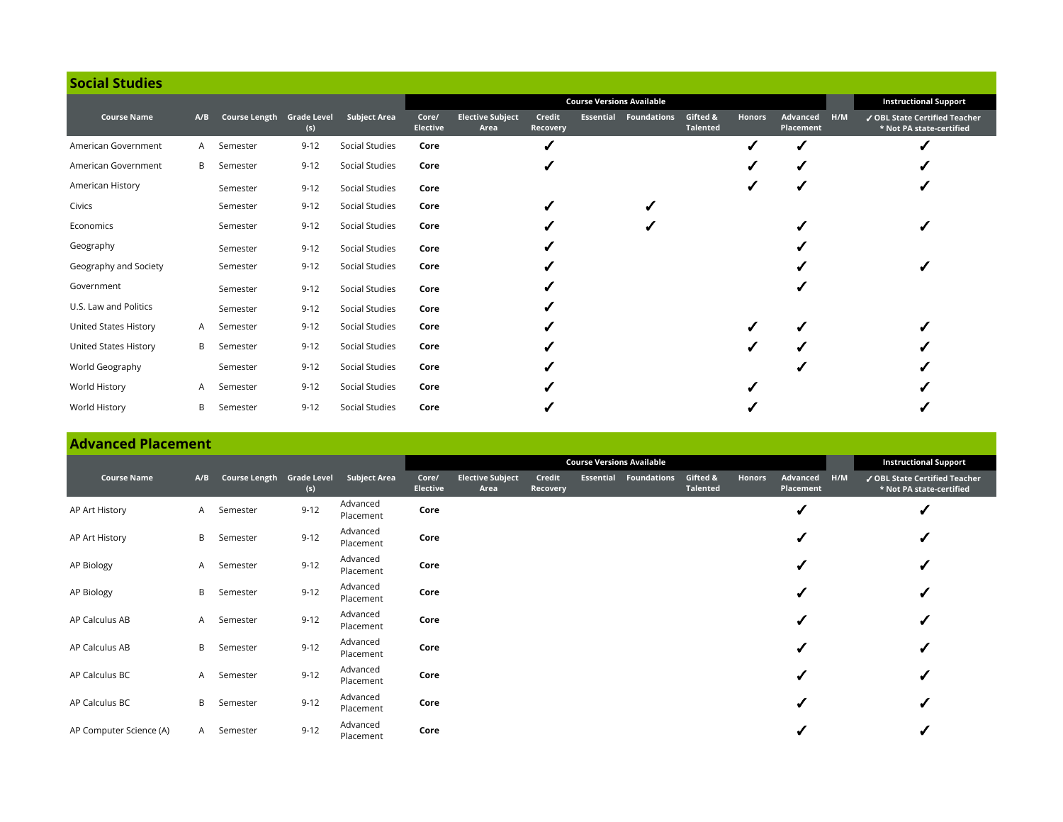| <b>Social Studies</b> |     |                           |          |                     |                          |                                 |                    |                                  |                              |                             |               |                       |     |                                                           |
|-----------------------|-----|---------------------------|----------|---------------------|--------------------------|---------------------------------|--------------------|----------------------------------|------------------------------|-----------------------------|---------------|-----------------------|-----|-----------------------------------------------------------|
|                       |     |                           |          |                     |                          |                                 |                    | <b>Course Versions Available</b> |                              |                             |               |                       |     | <b>Instructional Support</b>                              |
| <b>Course Name</b>    | A/B | Course Length Grade Level | (s)      | <b>Subject Area</b> | Core/<br><b>Elective</b> | <b>Elective Subject</b><br>Area | Credit<br>Recovery |                                  | <b>Essential Foundations</b> | Gifted &<br><b>Talented</b> | <b>Honors</b> | Advanced<br>Placement | H/M | √ OBL State Certified Teacher<br>* Not PA state-certified |
| American Government   | A   | Semester                  | $9 - 12$ | Social Studies      | Core                     |                                 |                    |                                  |                              |                             |               |                       |     |                                                           |
| American Government   | B   | Semester                  | $9 - 12$ | Social Studies      | Core                     |                                 |                    |                                  |                              |                             |               |                       |     |                                                           |
| American History      |     | Semester                  | $9 - 12$ | Social Studies      | Core                     |                                 |                    |                                  |                              |                             |               |                       |     |                                                           |
| Civics                |     | Semester                  | $9 - 12$ | Social Studies      | Core                     |                                 |                    |                                  |                              |                             |               |                       |     |                                                           |
| Economics             |     | Semester                  | $9 - 12$ | Social Studies      | Core                     |                                 |                    |                                  |                              |                             |               |                       |     |                                                           |
| Geography             |     | Semester                  | $9 - 12$ | Social Studies      | Core                     |                                 |                    |                                  |                              |                             |               |                       |     |                                                           |
| Geography and Society |     | Semester                  | $9 - 12$ | Social Studies      | Core                     |                                 |                    |                                  |                              |                             |               |                       |     |                                                           |
| Government            |     | Semester                  | $9 - 12$ | Social Studies      | Core                     |                                 |                    |                                  |                              |                             |               |                       |     |                                                           |
| U.S. Law and Politics |     | Semester                  | $9 - 12$ | Social Studies      | Core                     |                                 |                    |                                  |                              |                             |               |                       |     |                                                           |
| United States History | A   | Semester                  | $9 - 12$ | Social Studies      | Core                     |                                 |                    |                                  |                              |                             |               |                       |     |                                                           |
| United States History | B   | Semester                  | $9 - 12$ | Social Studies      | Core                     |                                 |                    |                                  |                              |                             |               |                       |     |                                                           |
| World Geography       |     | Semester                  | $9 - 12$ | Social Studies      | Core                     |                                 |                    |                                  |                              |                             |               |                       |     |                                                           |
| World History         | A   | Semester                  | $9 - 12$ | Social Studies      | Core                     |                                 |                    |                                  |                              |                             |               |                       |     |                                                           |
| World History         | В   | Semester                  | $9 - 12$ | Social Studies      | Core                     |                                 |                    |                                  |                              |                             |               |                       |     |                                                           |

# **Advanced Placement**

|                         |     |                           |          |                       |                          |                                 |                    |           | <b>Course Versions Available</b> |                             |        |                       |     | <b>Instructional Support</b>                              |
|-------------------------|-----|---------------------------|----------|-----------------------|--------------------------|---------------------------------|--------------------|-----------|----------------------------------|-----------------------------|--------|-----------------------|-----|-----------------------------------------------------------|
| <b>Course Name</b>      | A/B | Course Length Grade Level | (s)      | Subject Area          | Core/<br><b>Elective</b> | <b>Elective Subject</b><br>Area | Credit<br>Recovery | Essential | <b>Foundations</b>               | Gifted &<br><b>Talented</b> | Honors | Advanced<br>Placement | H/M | ✔ OBL State Certified Teacher<br>* Not PA state-certified |
| AP Art History          | A   | Semester                  | $9 - 12$ | Advanced<br>Placement | Core                     |                                 |                    |           |                                  |                             |        |                       |     |                                                           |
| AP Art History          | B   | Semester                  | $9 - 12$ | Advanced<br>Placement | Core                     |                                 |                    |           |                                  |                             |        | ✔                     |     |                                                           |
| AP Biology              | A.  | Semester                  | $9 - 12$ | Advanced<br>Placement | Core                     |                                 |                    |           |                                  |                             |        | J                     |     |                                                           |
| AP Biology              | B   | Semester                  | $9 - 12$ | Advanced<br>Placement | Core                     |                                 |                    |           |                                  |                             |        | ✔                     |     |                                                           |
| AP Calculus AB          | A   | Semester                  | $9 - 12$ | Advanced<br>Placement | Core                     |                                 |                    |           |                                  |                             |        | ✔                     |     |                                                           |
| AP Calculus AB          | B   | Semester                  | $9 - 12$ | Advanced<br>Placement | Core                     |                                 |                    |           |                                  |                             |        | ✔                     |     |                                                           |
| AP Calculus BC          | A   | Semester                  | $9 - 12$ | Advanced<br>Placement | Core                     |                                 |                    |           |                                  |                             |        | √                     |     |                                                           |
| AP Calculus BC          | B   | Semester                  | $9 - 12$ | Advanced<br>Placement | Core                     |                                 |                    |           |                                  |                             |        | ✔                     |     |                                                           |
| AP Computer Science (A) | A – | Semester                  | $9 - 12$ | Advanced<br>Placement | Core                     |                                 |                    |           |                                  |                             |        |                       |     |                                                           |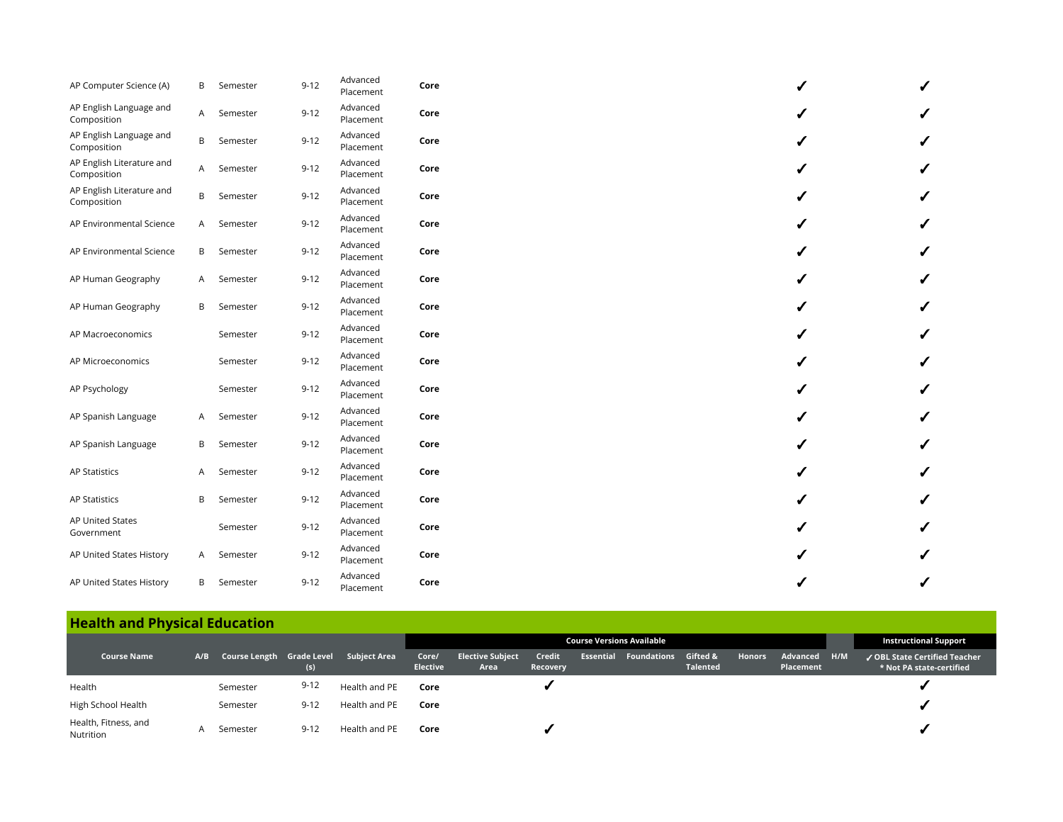| AP Computer Science (A)                  | B            | Semester | $9 - 12$ | Advanced<br>Placement | Core |              |  |
|------------------------------------------|--------------|----------|----------|-----------------------|------|--------------|--|
| AP English Language and<br>Composition   | $\mathsf{A}$ | Semester | $9 - 12$ | Advanced<br>Placement | Core | $\checkmark$ |  |
| AP English Language and<br>Composition   | B            | Semester | $9 - 12$ | Advanced<br>Placement | Core | ✔            |  |
| AP English Literature and<br>Composition | $\mathsf{A}$ | Semester | $9 - 12$ | Advanced<br>Placement | Core | J            |  |
| AP English Literature and<br>Composition | B            | Semester | $9 - 12$ | Advanced<br>Placement | Core |              |  |
| AP Environmental Science                 | A            | Semester | $9 - 12$ | Advanced<br>Placement | Core |              |  |
| AP Environmental Science                 | B            | Semester | $9 - 12$ | Advanced<br>Placement | Core |              |  |
| AP Human Geography                       | A            | Semester | $9 - 12$ | Advanced<br>Placement | Core |              |  |
| AP Human Geography                       | B            | Semester | $9 - 12$ | Advanced<br>Placement | Core |              |  |
| AP Macroeconomics                        |              | Semester | $9 - 12$ | Advanced<br>Placement | Core |              |  |
| AP Microeconomics                        |              | Semester | $9 - 12$ | Advanced<br>Placement | Core |              |  |
| AP Psychology                            |              | Semester | $9 - 12$ | Advanced<br>Placement | Core |              |  |
| AP Spanish Language                      | A            | Semester | $9 - 12$ | Advanced<br>Placement | Core | ✔            |  |
| AP Spanish Language                      | B            | Semester | $9 - 12$ | Advanced<br>Placement | Core |              |  |
| <b>AP Statistics</b>                     | A            | Semester | $9 - 12$ | Advanced<br>Placement | Core |              |  |
| <b>AP Statistics</b>                     | B            | Semester | $9 - 12$ | Advanced<br>Placement | Core |              |  |
| AP United States<br>Government           |              | Semester | $9 - 12$ | Advanced<br>Placement | Core |              |  |
| AP United States History                 | A            | Semester | $9 - 12$ | Advanced<br>Placement | Core |              |  |
| AP United States History                 | B            | Semester | $9 - 12$ | Advanced<br>Placement | Core |              |  |

### **Health and Physical Education**

|                                   |     |          |          |                                        | <b>Course Versions Available</b> |                                 |                    |  |                              |                                        |               |                           |  | <b>Instructional Support</b>                              |
|-----------------------------------|-----|----------|----------|----------------------------------------|----------------------------------|---------------------------------|--------------------|--|------------------------------|----------------------------------------|---------------|---------------------------|--|-----------------------------------------------------------|
| <b>Course Name</b>                | A/B |          | (s)      | Course Length Grade Level Subject Area | Core/<br><b>Elective</b>         | <b>Elective Subject</b><br>Area | Credit<br>Recovery |  | <b>Essential Foundations</b> | <b>Gifted &amp;</b><br><b>Talented</b> | <b>Honors</b> | Advanced H/M<br>Placement |  | ✔ OBL State Certified Teacher<br>* Not PA state-certified |
| Health                            |     | Semester | 9-12     | Health and PE                          | Core                             |                                 |                    |  |                              |                                        |               |                           |  |                                                           |
| High School Health                |     | Semester | $9 - 12$ | Health and PE                          | Core                             |                                 |                    |  |                              |                                        |               |                           |  |                                                           |
| Health, Fitness, and<br>Nutrition |     | Semester | $9 - 12$ | Health and PE                          | Core                             |                                 |                    |  |                              |                                        |               |                           |  |                                                           |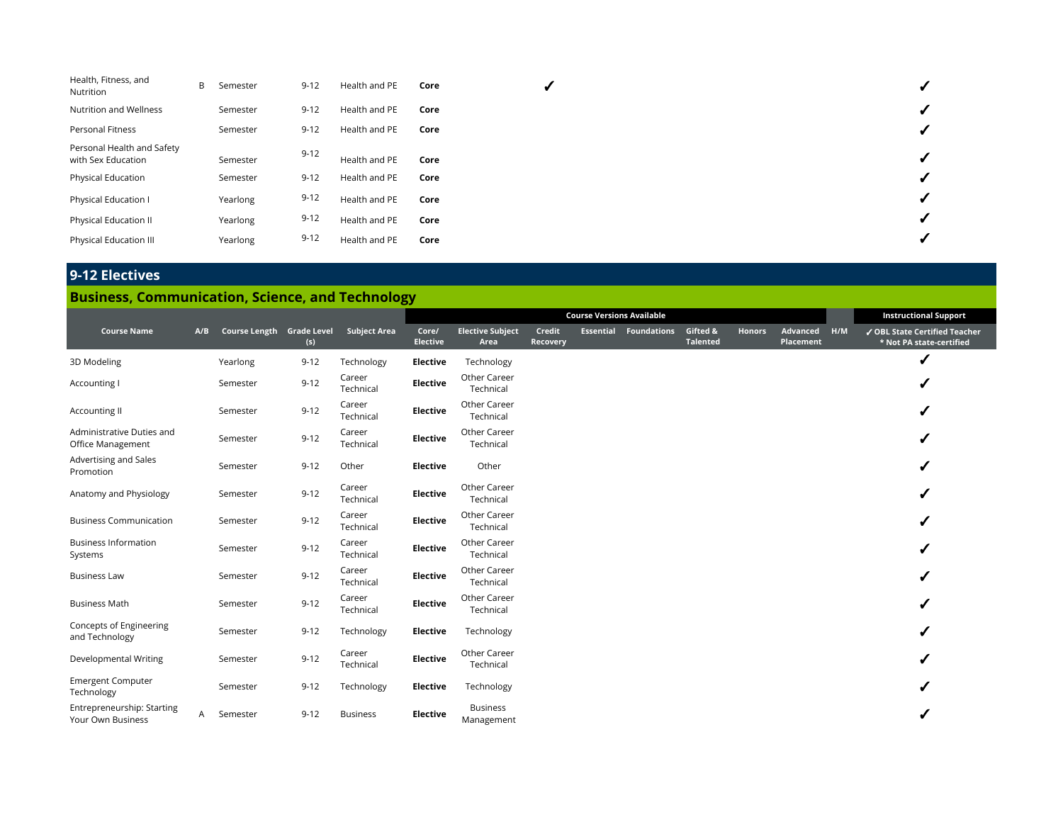| Health, Fitness, and<br>Nutrition                | B | Semester | $9 - 12$ | Health and PE | Core |   |
|--------------------------------------------------|---|----------|----------|---------------|------|---|
| Nutrition and Wellness                           |   | Semester | $9 - 12$ | Health and PE | Core | v |
| Personal Fitness                                 |   | Semester | $9 - 12$ | Health and PE | Core |   |
| Personal Health and Safety<br>with Sex Education |   | Semester | $9 - 12$ | Health and PE | Core |   |
| <b>Physical Education</b>                        |   | Semester | $9 - 12$ | Health and PE | Core |   |
| Physical Education I                             |   | Yearlong | $9 - 12$ | Health and PE | Core |   |
| Physical Education II                            |   | Yearlong | $9 - 12$ | Health and PE | Core | v |
| Physical Education III                           |   | Yearlong | $9 - 12$ | Health and PE | Core |   |

# **9-12 Electives**

# **Business, Communication, Science, and Technology**

|                                                 |              |                           |          |                     | <b>Course Versions Available</b> |                                 |                    |  |                              |                             |               |                       | <b>Instructional Support</b> |                                                           |
|-------------------------------------------------|--------------|---------------------------|----------|---------------------|----------------------------------|---------------------------------|--------------------|--|------------------------------|-----------------------------|---------------|-----------------------|------------------------------|-----------------------------------------------------------|
| <b>Course Name</b>                              | A/B          | Course Length Grade Level | (s)      | <b>Subject Area</b> | Core/<br><b>Elective</b>         | <b>Elective Subject</b><br>Area | Credit<br>Recovery |  | <b>Essential Foundations</b> | Gifted &<br><b>Talented</b> | <b>Honors</b> | Advanced<br>Placement | H/M                          | √ OBL State Certified Teacher<br>* Not PA state-certified |
| 3D Modeling                                     |              | Yearlong                  | $9 - 12$ | Technology          | Elective                         | Technology                      |                    |  |                              |                             |               |                       |                              |                                                           |
| Accounting I                                    |              | Semester                  | $9 - 12$ | Career<br>Technical | <b>Elective</b>                  | Other Career<br>Technical       |                    |  |                              |                             |               |                       |                              |                                                           |
| Accounting II                                   |              | Semester                  | $9 - 12$ | Career<br>Technical | <b>Elective</b>                  | Other Career<br>Technical       |                    |  |                              |                             |               |                       |                              |                                                           |
| Administrative Duties and<br>Office Management  |              | Semester                  | $9 - 12$ | Career<br>Technical | <b>Elective</b>                  | Other Career<br>Technical       |                    |  |                              |                             |               |                       |                              |                                                           |
| Advertising and Sales<br>Promotion              |              | Semester                  | $9 - 12$ | Other               | <b>Elective</b>                  | Other                           |                    |  |                              |                             |               |                       |                              | ✔                                                         |
| Anatomy and Physiology                          |              | Semester                  | $9 - 12$ | Career<br>Technical | Elective                         | Other Career<br>Technical       |                    |  |                              |                             |               |                       |                              |                                                           |
| <b>Business Communication</b>                   |              | Semester                  | $9 - 12$ | Career<br>Technical | Elective                         | Other Career<br>Technical       |                    |  |                              |                             |               |                       |                              |                                                           |
| <b>Business Information</b><br>Systems          |              | Semester                  | $9 - 12$ | Career<br>Technical | Elective                         | Other Career<br>Technical       |                    |  |                              |                             |               |                       |                              |                                                           |
| <b>Business Law</b>                             |              | Semester                  | $9 - 12$ | Career<br>Technical | Elective                         | Other Career<br>Technical       |                    |  |                              |                             |               |                       |                              |                                                           |
| <b>Business Math</b>                            |              | Semester                  | $9 - 12$ | Career<br>Technical | Elective                         | Other Career<br>Technical       |                    |  |                              |                             |               |                       |                              |                                                           |
| Concepts of Engineering<br>and Technology       |              | Semester                  | $9 - 12$ | Technology          | Elective                         | Technology                      |                    |  |                              |                             |               |                       |                              | ✔                                                         |
| Developmental Writing                           |              | Semester                  | $9 - 12$ | Career<br>Technical | <b>Elective</b>                  | Other Career<br>Technical       |                    |  |                              |                             |               |                       |                              |                                                           |
| <b>Emergent Computer</b><br>Technology          |              | Semester                  | $9 - 12$ | Technology          | Elective                         | Technology                      |                    |  |                              |                             |               |                       |                              | ✔                                                         |
| Entrepreneurship: Starting<br>Your Own Business | $\mathsf{A}$ | Semester                  | $9 - 12$ | <b>Business</b>     | Elective                         | <b>Business</b><br>Management   |                    |  |                              |                             |               |                       |                              |                                                           |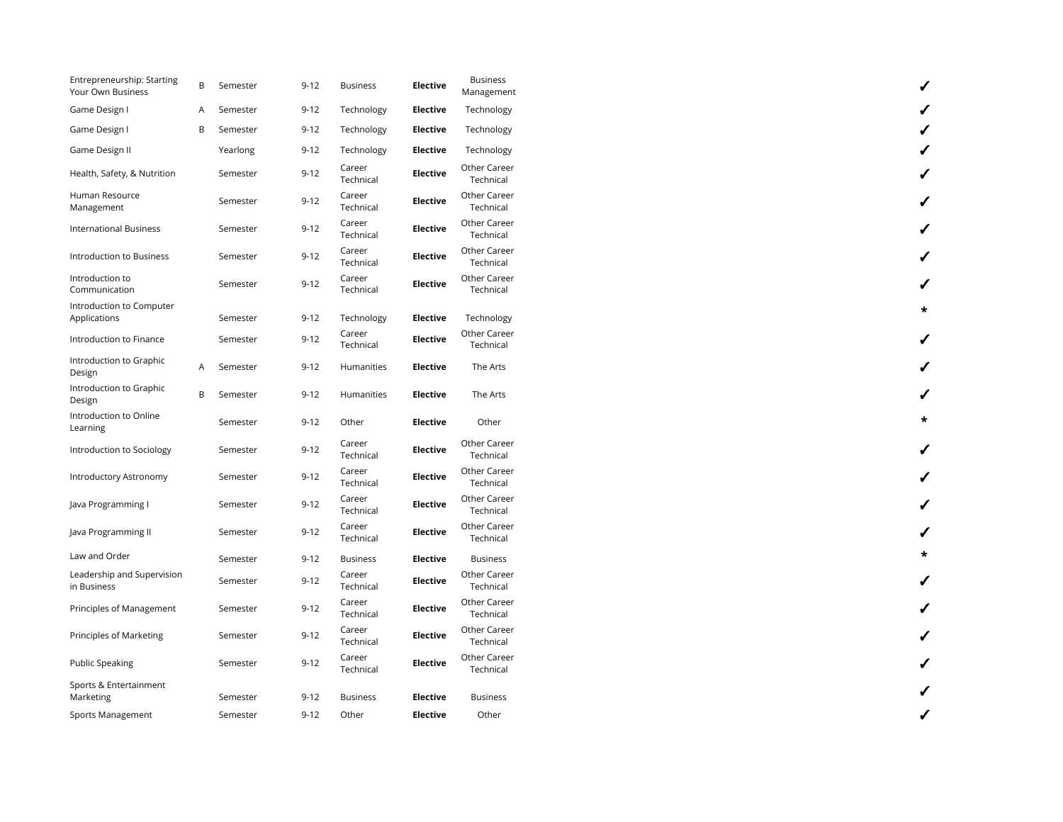| Entrepreneurship: Starting<br>Your Own Business | B | Semester | $9 - 12$ | <b>Business</b>     | Elective        | <b>Business</b><br>Management |
|-------------------------------------------------|---|----------|----------|---------------------|-----------------|-------------------------------|
| Game Design I                                   | A | Semester | $9 - 12$ | Technology          | <b>Elective</b> | Technology                    |
| Game Design I                                   | B | Semester | $9 - 12$ | Technology          | Elective        | Technology                    |
| Game Design II                                  |   | Yearlong | $9-12$   | Technology          | Elective        | Technology                    |
| Health, Safety, & Nutrition                     |   | Semester | $9 - 12$ | Career<br>Technical | <b>Elective</b> | Other Career<br>Technical     |
| Human Resource<br>Management                    |   | Semester | $9 - 12$ | Career<br>Technical | <b>Elective</b> | Other Career<br>Technical     |
| <b>International Business</b>                   |   | Semester | $9 - 12$ | Career<br>Technical | <b>Elective</b> | Other Career<br>Technical     |
| Introduction to Business                        |   | Semester | $9 - 12$ | Career<br>Technical | <b>Elective</b> | Other Career<br>Technical     |
| Introduction to<br>Communication                |   | Semester | $9 - 12$ | Career<br>Technical | <b>Elective</b> | Other Career<br>Technical     |
| Introduction to Computer<br>Applications        |   | Semester | $9 - 12$ | Technology          | <b>Elective</b> | Technology                    |
| Introduction to Finance                         |   | Semester | $9 - 12$ | Career<br>Technical | <b>Elective</b> | Other Career<br>Technical     |
| Introduction to Graphic<br>Design               | A | Semester | $9 - 12$ | <b>Humanities</b>   | Elective        | The Arts                      |
| Introduction to Graphic<br>Design               | B | Semester | $9 - 12$ | Humanities          | Elective        | The Arts                      |
| Introduction to Online<br>Learning              |   | Semester | $9-12$   | Other               | <b>Elective</b> | Other                         |
| Introduction to Sociology                       |   | Semester | $9 - 12$ | Career<br>Technical | <b>Elective</b> | Other Career<br>Technical     |
| Introductory Astronomy                          |   | Semester | $9 - 12$ | Career<br>Technical | <b>Elective</b> | Other Career<br>Technical     |
| Java Programming I                              |   | Semester | $9 - 12$ | Career<br>Technical | <b>Elective</b> | Other Career<br>Technical     |
| Java Programming II                             |   | Semester | $9 - 12$ | Career<br>Technical | <b>Elective</b> | Other Career<br>Technical     |
| Law and Order                                   |   | Semester | $9 - 12$ | <b>Business</b>     | <b>Elective</b> | <b>Business</b>               |
| Leadership and Supervision<br>in Business       |   | Semester | $9 - 12$ | Career<br>Technical | <b>Elective</b> | Other Career<br>Technical     |
| Principles of Management                        |   | Semester | $9 - 12$ | Career<br>Technical | <b>Elective</b> | Other Career<br>Technical     |
| Principles of Marketing                         |   | Semester | $9 - 12$ | Career<br>Technical | <b>Elective</b> | Other Career<br>Technical     |
| <b>Public Speaking</b>                          |   | Semester | $9 - 12$ | Career<br>Technical | <b>Elective</b> | Other Career<br>Technical     |
| Sports & Entertainment<br>Marketing             |   | Semester | $9-12$   | <b>Business</b>     | <b>Elective</b> | <b>Business</b>               |
| Sports Management                               |   | Semester | $9-12$   | Other               | Elective        | Other                         |

| ノノ           |
|--------------|
|              |
| $\checkmark$ |
| $\checkmark$ |
| $\checkmark$ |
| $\checkmark$ |
| $\star$      |
|              |
| $\checkmark$ |
|              |
|              |
| $\checkmark$ |
| $\checkmark$ |
| $\checkmark$ |
|              |
| $\star$      |
| $\checkmark$ |
| $\checkmark$ |
| $\checkmark$ |
|              |
| $\checkmark$ |
|              |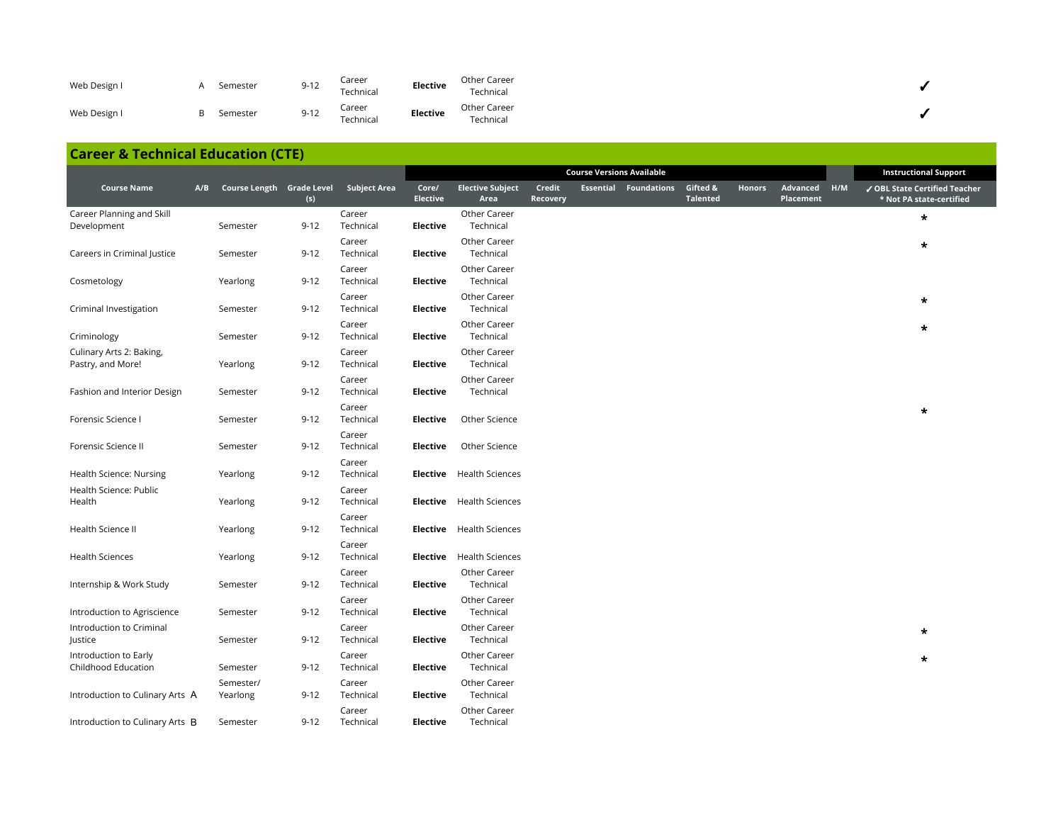| Web Design I |    | Semester | $9 - 12$ | Career<br>Technical | Elective | Other Career<br>Technical |  |
|--------------|----|----------|----------|---------------------|----------|---------------------------|--|
| Web Design I | R. | Semester | $9 - 12$ | Career<br>Technical | Elective | Other Career<br>Technical |  |

### **Career & Technical Education (CTE)**

|                                               |                                            |          |                     |                          |                                 |                    | <b>Course Versions Available</b> |                              |                             |        |                       |     | <b>Instructional Support</b>                              |
|-----------------------------------------------|--------------------------------------------|----------|---------------------|--------------------------|---------------------------------|--------------------|----------------------------------|------------------------------|-----------------------------|--------|-----------------------|-----|-----------------------------------------------------------|
| <b>Course Name</b>                            | A/B Course Length Grade Level Subject Area | (s)      |                     | Core/<br><b>Elective</b> | <b>Elective Subject</b><br>Area | Credit<br>Recovery |                                  | <b>Essential Foundations</b> | Gifted &<br><b>Talented</b> | Honors | Advanced<br>Placement | H/M | ✔ OBL State Certified Teacher<br>* Not PA state-certified |
| Career Planning and Skill<br>Development      | Semester                                   | $9 - 12$ | Career<br>Technical | Elective                 | Other Career<br>Technical       |                    |                                  |                              |                             |        |                       |     | $\star$                                                   |
| Careers in Criminal Justice                   | Semester                                   | $9 - 12$ | Career<br>Technical | <b>Elective</b>          | Other Career<br>Technical       |                    |                                  |                              |                             |        |                       |     | $\star$                                                   |
| Cosmetology                                   | Yearlong                                   | $9 - 12$ | Career<br>Technical | Elective                 | Other Career<br>Technical       |                    |                                  |                              |                             |        |                       |     |                                                           |
| Criminal Investigation                        | Semester                                   | $9 - 12$ | Career<br>Technical | Elective                 | Other Career<br>Technical       |                    |                                  |                              |                             |        |                       |     | $\star$                                                   |
| Criminology                                   | Semester                                   | $9 - 12$ | Career<br>Technical | Elective                 | Other Career<br>Technical       |                    |                                  |                              |                             |        |                       |     | $\star$                                                   |
| Culinary Arts 2: Baking,<br>Pastry, and More! | Yearlong                                   | $9 - 12$ | Career<br>Technical | <b>Elective</b>          | Other Career<br>Technical       |                    |                                  |                              |                             |        |                       |     |                                                           |
| Fashion and Interior Design                   | Semester                                   | $9 - 12$ | Career<br>Technical | <b>Elective</b>          | Other Career<br>Technical       |                    |                                  |                              |                             |        |                       |     |                                                           |
| Forensic Science I                            | Semester                                   | $9 - 12$ | Career<br>Technical | Elective                 | Other Science                   |                    |                                  |                              |                             |        |                       |     | $\star$                                                   |
| Forensic Science II                           | Semester                                   | $9 - 12$ | Career<br>Technical | Elective                 | Other Science                   |                    |                                  |                              |                             |        |                       |     |                                                           |
| Health Science: Nursing                       | Yearlong                                   | $9 - 12$ | Career<br>Technical |                          | <b>Elective</b> Health Sciences |                    |                                  |                              |                             |        |                       |     |                                                           |
| Health Science: Public<br>Health              | Yearlong                                   | $9 - 12$ | Career<br>Technical |                          | <b>Elective</b> Health Sciences |                    |                                  |                              |                             |        |                       |     |                                                           |
| Health Science II                             | Yearlong                                   | $9 - 12$ | Career<br>Technical |                          | <b>Elective</b> Health Sciences |                    |                                  |                              |                             |        |                       |     |                                                           |
| <b>Health Sciences</b>                        | Yearlong                                   | $9 - 12$ | Career<br>Technical | Elective                 | <b>Health Sciences</b>          |                    |                                  |                              |                             |        |                       |     |                                                           |
| Internship & Work Study                       | Semester                                   | $9 - 12$ | Career<br>Technical | Elective                 | Other Career<br>Technical       |                    |                                  |                              |                             |        |                       |     |                                                           |
| Introduction to Agriscience                   | Semester                                   | $9 - 12$ | Career<br>Technical | Elective                 | Other Career<br>Technical       |                    |                                  |                              |                             |        |                       |     |                                                           |
| Introduction to Criminal<br>Justice           | Semester                                   | $9 - 12$ | Career<br>Technical | Elective                 | Other Career<br>Technical       |                    |                                  |                              |                             |        |                       |     | $\star$                                                   |
| Introduction to Early<br>Childhood Education  | Semester                                   | $9 - 12$ | Career<br>Technical | Elective                 | Other Career<br>Technical       |                    |                                  |                              |                             |        |                       |     | $\star$                                                   |
| Introduction to Culinary Arts A               | Semester/<br>Yearlong                      | $9 - 12$ | Career<br>Technical | <b>Elective</b>          | Other Career<br>Technical       |                    |                                  |                              |                             |        |                       |     |                                                           |
| Introduction to Culinary Arts B               | Semester                                   | $9 - 12$ | Career<br>Technical | Elective                 | Other Career<br>Technical       |                    |                                  |                              |                             |        |                       |     |                                                           |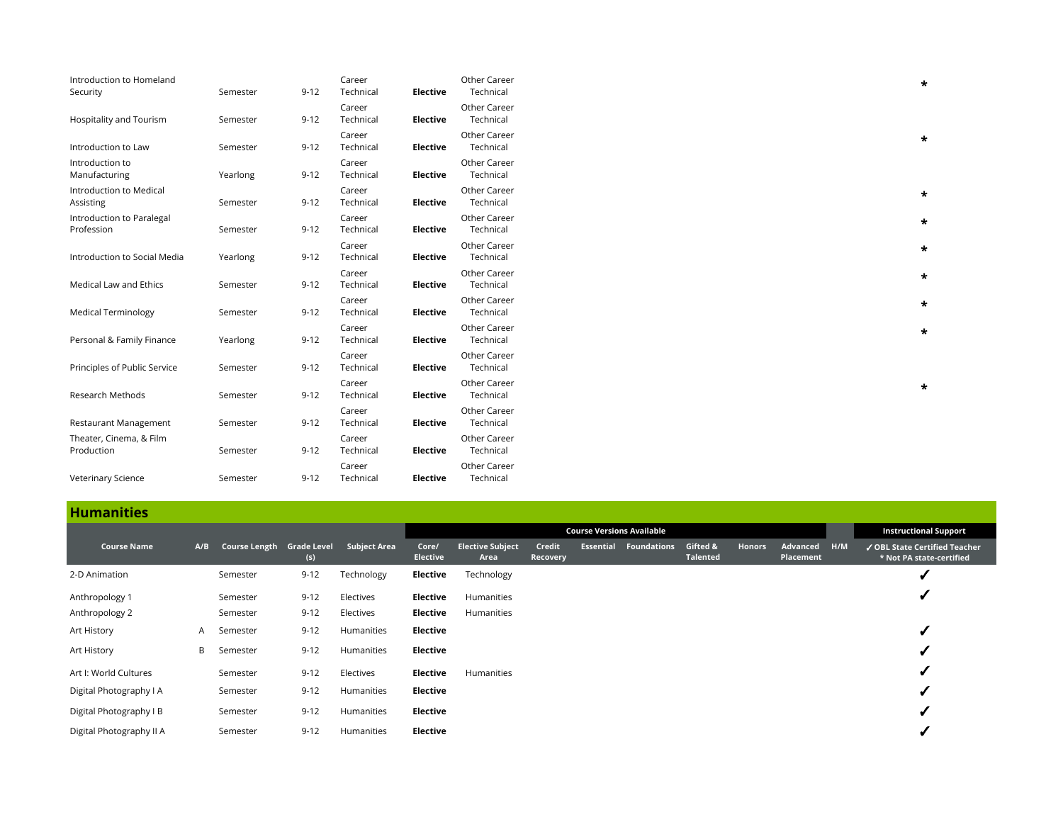| Introduction to Homeland<br>Security    | Semester | $9 - 12$ | Career<br>Technical | Elective        | Other Career<br>Technical | $\star$ |
|-----------------------------------------|----------|----------|---------------------|-----------------|---------------------------|---------|
| Hospitality and Tourism                 | Semester | $9 - 12$ | Career<br>Technical | Elective        | Other Career<br>Technical |         |
| Introduction to Law                     | Semester | $9 - 12$ | Career<br>Technical | Elective        | Other Career<br>Technical | $\star$ |
| Introduction to<br>Manufacturing        | Yearlong | $9 - 12$ | Career<br>Technical | Elective        | Other Career<br>Technical |         |
| Introduction to Medical<br>Assisting    | Semester | $9 - 12$ | Career<br>Technical | Elective        | Other Career<br>Technical |         |
| Introduction to Paralegal<br>Profession | Semester | $9 - 12$ | Career<br>Technical | <b>Elective</b> | Other Career<br>Technical |         |
| Introduction to Social Media            | Yearlong | $9 - 12$ | Career<br>Technical | Elective        | Other Career<br>Technical |         |
| Medical Law and Ethics                  | Semester | $9 - 12$ | Career<br>Technical | <b>Elective</b> | Other Career<br>Technical |         |
| <b>Medical Terminology</b>              | Semester | $9 - 12$ | Career<br>Technical | Elective        | Other Career<br>Technical |         |
| Personal & Family Finance               | Yearlong | $9 - 12$ | Career<br>Technical | <b>Elective</b> | Other Career<br>Technical |         |
| Principles of Public Service            | Semester | $9 - 12$ | Career<br>Technical | Elective        | Other Career<br>Technical |         |
| Research Methods                        | Semester | $9 - 12$ | Career<br>Technical | Elective        | Other Career<br>Technical |         |
| Restaurant Management                   | Semester | $9 - 12$ | Career<br>Technical | Elective        | Other Career<br>Technical |         |
| Theater, Cinema, & Film<br>Production   | Semester | $9 - 12$ | Career<br>Technical | <b>Elective</b> | Other Career<br>Technical |         |
| Veterinary Science                      | Semester | $9 - 12$ | Career<br>Technical | <b>Elective</b> | Other Career<br>Technical |         |

# **Humanities**

|                          |     |                           |          |                     | <b>Course Versions Available</b> |                                 |                    |                  |                    |                      |               |                       |     | <b>Instructional Support</b>                              |
|--------------------------|-----|---------------------------|----------|---------------------|----------------------------------|---------------------------------|--------------------|------------------|--------------------|----------------------|---------------|-----------------------|-----|-----------------------------------------------------------|
| <b>Course Name</b>       | A/B | Course Length Grade Level | (s)      | <b>Subject Area</b> | Core/<br><b>Elective</b>         | <b>Elective Subject</b><br>Area | Credit<br>Recovery | <b>Essential</b> | <b>Foundations</b> | Gifted &<br>Talented | <b>Honors</b> | Advanced<br>Placement | HMM | ✔ OBL State Certified Teacher<br>* Not PA state-certified |
| 2-D Animation            |     | Semester                  | $9 - 12$ | Technology          | Elective                         | Technology                      |                    |                  |                    |                      |               |                       |     |                                                           |
| Anthropology 1           |     | Semester                  | $9 - 12$ | Electives           | Elective                         | Humanities                      |                    |                  |                    |                      |               |                       |     |                                                           |
| Anthropology 2           |     | Semester                  | $9 - 12$ | Electives           | Elective                         | Humanities                      |                    |                  |                    |                      |               |                       |     |                                                           |
| Art History              | A   | Semester                  | $9 - 12$ | Humanities          | Elective                         |                                 |                    |                  |                    |                      |               |                       |     |                                                           |
| Art History              | B   | Semester                  | $9 - 12$ | Humanities          | Elective                         |                                 |                    |                  |                    |                      |               |                       |     |                                                           |
| Art I: World Cultures    |     | Semester                  | $9 - 12$ | Electives           | Elective                         | Humanities                      |                    |                  |                    |                      |               |                       |     |                                                           |
| Digital Photography I A  |     | Semester                  | $9 - 12$ | Humanities          | Elective                         |                                 |                    |                  |                    |                      |               |                       |     |                                                           |
| Digital Photography I B  |     | Semester                  | $9 - 12$ | Humanities          | Elective                         |                                 |                    |                  |                    |                      |               |                       |     |                                                           |
| Digital Photography II A |     | Semester                  | $9 - 12$ | Humanities          | Elective                         |                                 |                    |                  |                    |                      |               |                       |     |                                                           |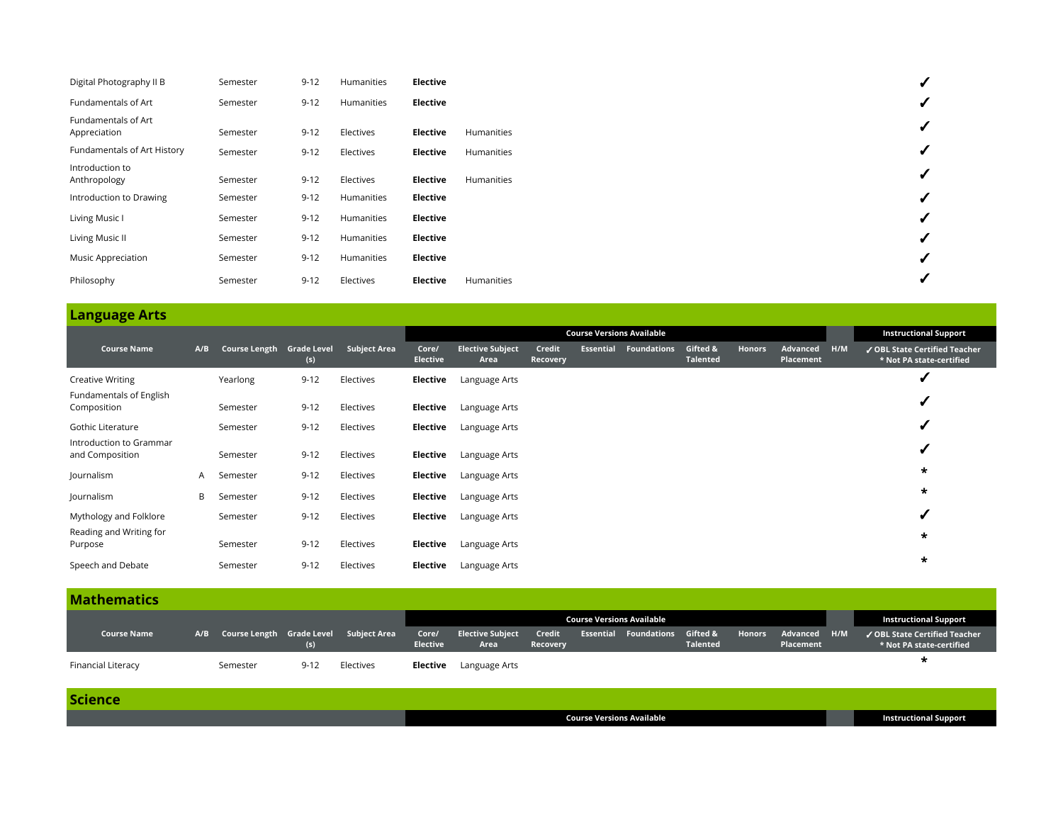| Digital Photography II B            | Semester | $9 - 12$ | Humanities | Elective |            |
|-------------------------------------|----------|----------|------------|----------|------------|
| Fundamentals of Art                 | Semester | $9 - 12$ | Humanities | Elective |            |
| Fundamentals of Art<br>Appreciation | Semester | $9 - 12$ | Electives  | Elective | Humanities |
| Fundamentals of Art History         | Semester | $9 - 12$ | Electives  | Elective | Humanities |
| Introduction to<br>Anthropology     | Semester | $9 - 12$ | Electives  | Elective | Humanities |
| Introduction to Drawing             | Semester | $9 - 12$ | Humanities | Elective |            |
| Living Music I                      | Semester | $9 - 12$ | Humanities | Elective |            |
| Living Music II                     | Semester | $9 - 12$ | Humanities | Elective |            |
| Music Appreciation                  | Semester | $9 - 12$ | Humanities | Elective |            |
| Philosophy                          | Semester | $9 - 12$ | Electives  | Elective | Humanities |

|                                            |     |                           |          |                     | <b>Course Versions Available</b> |                                 |                    |                  |                    |                             |               |                       | <b>Instructional Support</b> |                                                           |
|--------------------------------------------|-----|---------------------------|----------|---------------------|----------------------------------|---------------------------------|--------------------|------------------|--------------------|-----------------------------|---------------|-----------------------|------------------------------|-----------------------------------------------------------|
| <b>Course Name</b>                         | A/B | Course Length Grade Level | (s)      | <b>Subject Area</b> | Core/<br><b>Elective</b>         | <b>Elective Subject</b><br>Area | Credit<br>Recovery | <b>Essential</b> | <b>Foundations</b> | Gifted &<br><b>Talented</b> | <b>Honors</b> | Advanced<br>Placement | H/M                          | ✔ OBL State Certified Teacher<br>* Not PA state-certified |
| Creative Writing                           |     | Yearlong                  | $9 - 12$ | Electives           | Elective                         | Language Arts                   |                    |                  |                    |                             |               |                       |                              |                                                           |
| Fundamentals of English<br>Composition     |     | Semester                  | $9 - 12$ | Electives           | Elective                         | Language Arts                   |                    |                  |                    |                             |               |                       |                              | ✔                                                         |
| Gothic Literature                          |     | Semester                  | $9 - 12$ | Electives           | Elective                         | Language Arts                   |                    |                  |                    |                             |               |                       |                              | ✔                                                         |
| Introduction to Grammar<br>and Composition |     | Semester                  | $9 - 12$ | Electives           | Elective                         | Language Arts                   |                    |                  |                    |                             |               |                       |                              |                                                           |
| Journalism                                 | A   | Semester                  | $9 - 12$ | Electives           | Elective                         | Language Arts                   |                    |                  |                    |                             |               |                       |                              | $\star$                                                   |
| Journalism                                 | B   | Semester                  | $9 - 12$ | Electives           | Elective                         | Language Arts                   |                    |                  |                    |                             |               |                       |                              | $\star$                                                   |
| Mythology and Folklore                     |     | Semester                  | $9 - 12$ | Electives           | Elective                         | Language Arts                   |                    |                  |                    |                             |               |                       |                              |                                                           |
| Reading and Writing for<br>Purpose         |     | Semester                  | $9 - 12$ | Electives           | Elective                         | Language Arts                   |                    |                  |                    |                             |               |                       |                              | $\star$                                                   |
| Speech and Debate                          |     | Semester                  | $9 - 12$ | Electives           | Elective                         | Language Arts                   |                    |                  |                    |                             |               |                       |                              | $\star$                                                   |

| <b>Mathematics</b>        |          |          |                                            |                          |                                 |                    |                                           |                 |        |                           |                                                           |
|---------------------------|----------|----------|--------------------------------------------|--------------------------|---------------------------------|--------------------|-------------------------------------------|-----------------|--------|---------------------------|-----------------------------------------------------------|
|                           |          |          |                                            |                          |                                 |                    | <b>Course Versions Available</b>          |                 |        |                           | <b>Instructional Support</b>                              |
| <b>Course Name</b>        |          | (s)      | A/B Course Length Grade Level Subject Area | Core/<br><b>Elective</b> | <b>Elective Subject</b><br>Area | Credit<br>Recovery | <b>Essential Foundations Gifted &amp;</b> | <b>Talented</b> | Honors | Advanced H/M<br>Placement | ✔ OBL State Certified Teacher<br>* Not PA state-certified |
| <b>Financial Literacy</b> | Semester | $9 - 12$ | Electives                                  | Elective                 | Language Arts                   |                    |                                           |                 |        |                           |                                                           |

| <b>Science</b> |                                  |                              |
|----------------|----------------------------------|------------------------------|
|                | <b>Course Versions Available</b> | <b>Instructional Support</b> |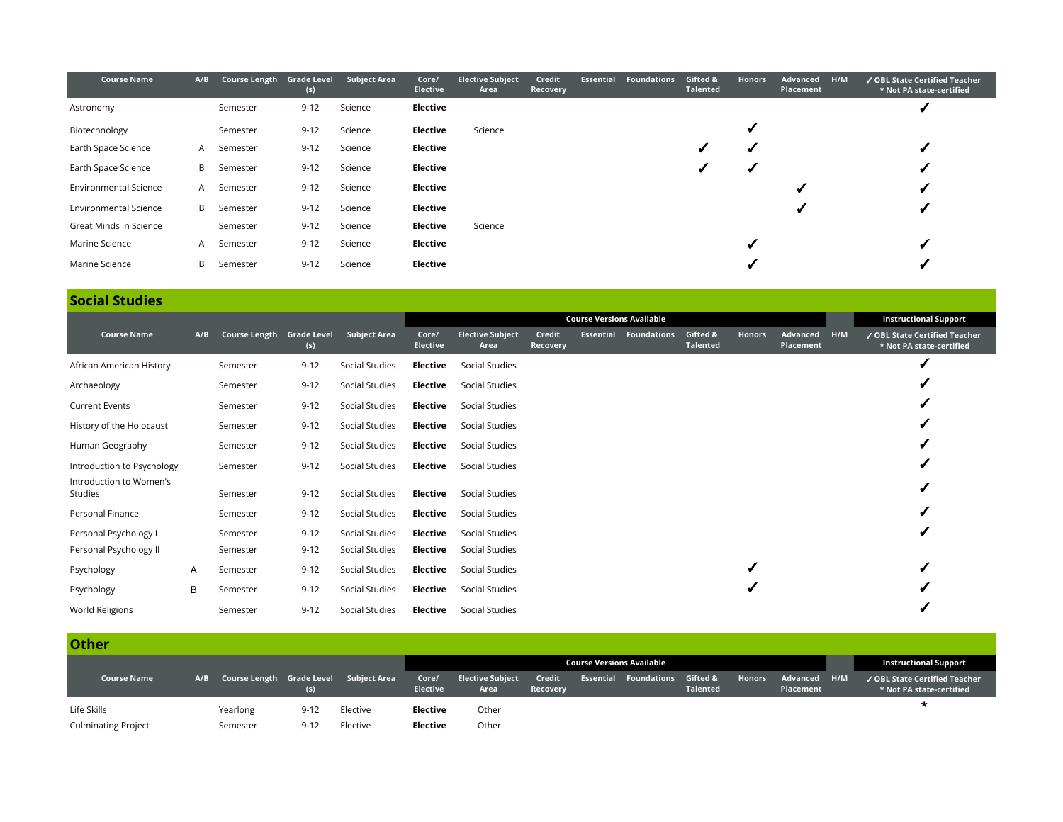| <b>Course Name</b>           | A/B            | Course Length Grade Level | (s)      | <b>Subject Area</b> | Core/<br><b>Elective</b> | <b>Elective Subject</b><br>Area | Credit<br>Recovery | <b>Essential</b> | <b>Foundations</b> | Gifted &<br><b>Talented</b> | <b>Honors</b> | Advanced<br>Placement | H/M | ✔ OBL State Certified Teacher<br>* Not PA state-certified |
|------------------------------|----------------|---------------------------|----------|---------------------|--------------------------|---------------------------------|--------------------|------------------|--------------------|-----------------------------|---------------|-----------------------|-----|-----------------------------------------------------------|
| Astronomy                    |                | Semester                  | $9 - 12$ | Science             | Elective                 |                                 |                    |                  |                    |                             |               |                       |     |                                                           |
| Biotechnology                |                | Semester                  | $9 - 12$ | Science             | Elective                 | Science                         |                    |                  |                    |                             |               |                       |     |                                                           |
| Earth Space Science          | A              | Semester                  | $9 - 12$ | Science             | Elective                 |                                 |                    |                  |                    |                             |               |                       |     |                                                           |
| Earth Space Science          | B              | Semester                  | $9 - 12$ | Science             | Elective                 |                                 |                    |                  |                    |                             |               |                       |     |                                                           |
| <b>Environmental Science</b> | $\overline{A}$ | Semester                  | $9 - 12$ | Science             | Elective                 |                                 |                    |                  |                    |                             |               |                       |     |                                                           |
| <b>Environmental Science</b> | B.             | Semester                  | $9 - 12$ | Science             | Elective                 |                                 |                    |                  |                    |                             |               |                       |     |                                                           |
| Great Minds in Science       |                | Semester                  | $9 - 12$ | Science             | Elective                 | Science                         |                    |                  |                    |                             |               |                       |     |                                                           |
| Marine Science               | A              | Semester                  | $9 - 12$ | Science             | Elective                 |                                 |                    |                  |                    |                             |               |                       |     |                                                           |
| Marine Science               | B              | Semester                  | $9 - 12$ | Science             | Elective                 |                                 |                    |                  |                    |                             |               |                       |     |                                                           |

# **Social Studies**

|                                    |     |                           |          |                     |                          | <b>Course Versions Available</b> |                    |                  |                    |                             |        |                       |     | <b>Instructional Support</b>                              |
|------------------------------------|-----|---------------------------|----------|---------------------|--------------------------|----------------------------------|--------------------|------------------|--------------------|-----------------------------|--------|-----------------------|-----|-----------------------------------------------------------|
| <b>Course Name</b>                 | A/B | Course Length Grade Level | (s)      | <b>Subject Area</b> | Core/<br><b>Elective</b> | <b>Elective Subject</b><br>Area  | Credit<br>Recovery | <b>Essential</b> | <b>Foundations</b> | Gifted &<br><b>Talented</b> | Honors | Advanced<br>Placement | H/M | ✔ OBL State Certified Teacher<br>* Not PA state-certified |
| African American History           |     | Semester                  | $9 - 12$ | Social Studies      | Elective                 | Social Studies                   |                    |                  |                    |                             |        |                       |     |                                                           |
| Archaeology                        |     | Semester                  | $9 - 12$ | Social Studies      | Elective                 | Social Studies                   |                    |                  |                    |                             |        |                       |     |                                                           |
| <b>Current Events</b>              |     | Semester                  | $9 - 12$ | Social Studies      | Elective                 | Social Studies                   |                    |                  |                    |                             |        |                       |     |                                                           |
| History of the Holocaust           |     | Semester                  | $9 - 12$ | Social Studies      | Elective                 | Social Studies                   |                    |                  |                    |                             |        |                       |     |                                                           |
| Human Geography                    |     | Semester                  | $9 - 12$ | Social Studies      | Elective                 | Social Studies                   |                    |                  |                    |                             |        |                       |     |                                                           |
| Introduction to Psychology         |     | Semester                  | $9 - 12$ | Social Studies      | Elective                 | Social Studies                   |                    |                  |                    |                             |        |                       |     |                                                           |
| Introduction to Women's<br>Studies |     | Semester                  | $9 - 12$ | Social Studies      | Elective                 | Social Studies                   |                    |                  |                    |                             |        |                       |     |                                                           |
| Personal Finance                   |     | Semester                  | $9 - 12$ | Social Studies      | Elective                 | Social Studies                   |                    |                  |                    |                             |        |                       |     |                                                           |
| Personal Psychology I              |     | Semester                  | $9 - 12$ | Social Studies      | Elective                 | Social Studies                   |                    |                  |                    |                             |        |                       |     |                                                           |
| Personal Psychology II             |     | Semester                  | $9 - 12$ | Social Studies      | Elective                 | Social Studies                   |                    |                  |                    |                             |        |                       |     |                                                           |
| Psychology                         | A   | Semester                  | $9 - 12$ | Social Studies      | Elective                 | Social Studies                   |                    |                  |                    |                             |        |                       |     |                                                           |
| Psychology                         | B   | Semester                  | $9 - 12$ | Social Studies      | Elective                 | Social Studies                   |                    |                  |                    |                             |        |                       |     |                                                           |
| World Religions                    |     | Semester                  | $9 - 12$ | Social Studies      | Elective                 | Social Studies                   |                    |                  |                    |                             |        |                       |     |                                                           |

### **Other**

|                            |          |          |                                            | <b>Course Versions Available</b> |                                 |                    |  |                                           |                 |               | <b>Instructional Support</b> |                                                           |
|----------------------------|----------|----------|--------------------------------------------|----------------------------------|---------------------------------|--------------------|--|-------------------------------------------|-----------------|---------------|------------------------------|-----------------------------------------------------------|
| <b>Course Name</b>         |          | (s)      | A/B Course Length Grade Level Subject Area | Core/<br><b>Elective</b>         | <b>Elective Subject</b><br>Area | Credit<br>Recovery |  | <b>Essential Foundations Gifted &amp;</b> | <b>Talented</b> | <b>Honors</b> | Advanced H/M<br>Placement    | ✔ OBL State Certified Teacher<br>* Not PA state-certified |
| Life Skills                | Yearlong | $9 - 12$ | Elective                                   | Elective                         | Other                           |                    |  |                                           |                 |               |                              |                                                           |
| <b>Culminating Project</b> | Semester | $9 - 12$ | Elective                                   | Elective                         | Other                           |                    |  |                                           |                 |               |                              |                                                           |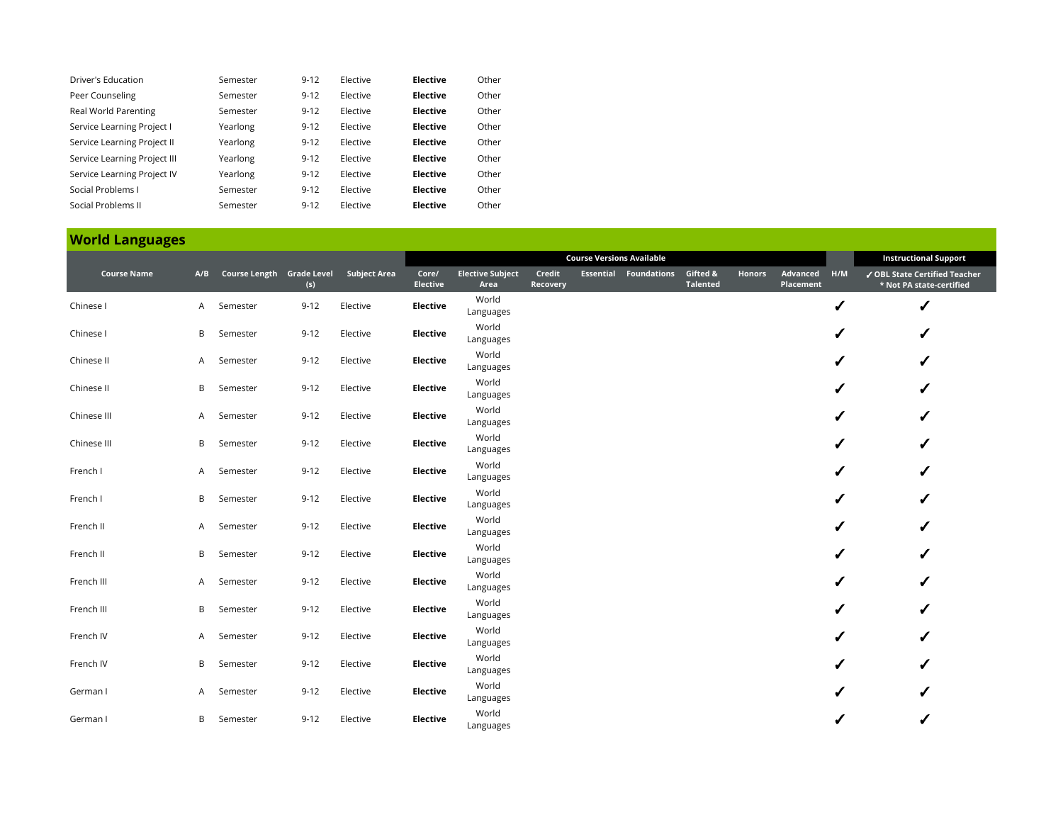| Driver's Education           | Semester | $9 - 12$ | Elective | <b>Elective</b> | Other |
|------------------------------|----------|----------|----------|-----------------|-------|
| Peer Counseling              | Semester | $9 - 12$ | Elective | <b>Elective</b> | Other |
| Real World Parenting         | Semester | $9 - 12$ | Elective | <b>Elective</b> | Other |
| Service Learning Project I   | Yearlong | $9 - 12$ | Elective | <b>Elective</b> | Other |
| Service Learning Project II  | Yearlong | $9 - 12$ | Elective | <b>Elective</b> | Other |
| Service Learning Project III | Yearlong | $9 - 12$ | Elective | <b>Elective</b> | Other |
| Service Learning Project IV  | Yearlong | $9 - 12$ | Elective | <b>Elective</b> | Other |
| Social Problems L            | Semester | $9 - 12$ | Elective | <b>Elective</b> | Other |
| Social Problems II           | Semester | $9 - 12$ | Elective | <b>Elective</b> | Other |

## **World Languages**

|                    |    |                               |          |                     |                          | <b>Course Versions Available</b> |                    |  |                                           |                 |               |                       |     | <b>Instructional Support</b>                              |
|--------------------|----|-------------------------------|----------|---------------------|--------------------------|----------------------------------|--------------------|--|-------------------------------------------|-----------------|---------------|-----------------------|-----|-----------------------------------------------------------|
| <b>Course Name</b> |    | A/B Course Length Grade Level | (s)      | <b>Subject Area</b> | Core/<br><b>Elective</b> | <b>Elective Subject</b><br>Area  | Credit<br>Recovery |  | <b>Essential Foundations Gifted &amp;</b> | <b>Talented</b> | <b>Honors</b> | Advanced<br>Placement | H/M | √ OBL State Certified Teacher<br>* Not PA state-certified |
| Chinese I          | A. | Semester                      | $9 - 12$ | Elective            | <b>Elective</b>          | World<br>Languages               |                    |  |                                           |                 |               |                       | ✔   | ✔                                                         |
| Chinese I          | В  | Semester                      | $9 - 12$ | Elective            | <b>Elective</b>          | World<br>Languages               |                    |  |                                           |                 |               |                       | ✔   |                                                           |
| Chinese II         | A  | Semester                      | $9 - 12$ | Elective            | Elective                 | World<br>Languages               |                    |  |                                           |                 |               |                       | ✔   |                                                           |
| Chinese II         | В  | Semester                      | $9 - 12$ | Elective            | Elective                 | World<br>Languages               |                    |  |                                           |                 |               |                       | ✔   | ✔                                                         |
| Chinese III        | A  | Semester                      | $9 - 12$ | Elective            | <b>Elective</b>          | World<br>Languages               |                    |  |                                           |                 |               |                       | ✔   |                                                           |
| Chinese III        | B  | Semester                      | $9 - 12$ | Elective            | Elective                 | World<br>Languages               |                    |  |                                           |                 |               |                       | ✔   | ✔                                                         |
| French I           | A  | Semester                      | $9 - 12$ | Elective            | Elective                 | World<br>Languages               |                    |  |                                           |                 |               |                       | J   | ✔                                                         |
| French I           | В  | Semester                      | $9 - 12$ | Elective            | Elective                 | World<br>Languages               |                    |  |                                           |                 |               |                       | ✔   | ✔                                                         |
| French II          | A  | Semester                      | $9 - 12$ | Elective            | <b>Elective</b>          | World<br>Languages               |                    |  |                                           |                 |               |                       |     |                                                           |
| French II          | В  | Semester                      | $9 - 12$ | Elective            | <b>Elective</b>          | World<br>Languages               |                    |  |                                           |                 |               |                       | ✔   |                                                           |
| French III         | A  | Semester                      | $9 - 12$ | Elective            | Elective                 | World<br>Languages               |                    |  |                                           |                 |               |                       | ✔   |                                                           |
| French III         | B  | Semester                      | $9 - 12$ | Elective            | Elective                 | World<br>Languages               |                    |  |                                           |                 |               |                       | ✔   |                                                           |
| French IV          | A. | Semester                      | $9 - 12$ | Elective            | Elective                 | World<br>Languages               |                    |  |                                           |                 |               |                       | J   |                                                           |
| French IV          | B  | Semester                      | $9 - 12$ | Elective            | <b>Elective</b>          | World<br>Languages               |                    |  |                                           |                 |               |                       | ℐ   | ✔                                                         |
| German I           | A  | Semester                      | $9 - 12$ | Elective            | <b>Elective</b>          | World<br>Languages               |                    |  |                                           |                 |               |                       |     |                                                           |
| German I           | B  | Semester                      | $9 - 12$ | Elective            | <b>Elective</b>          | World<br>Languages               |                    |  |                                           |                 |               |                       |     |                                                           |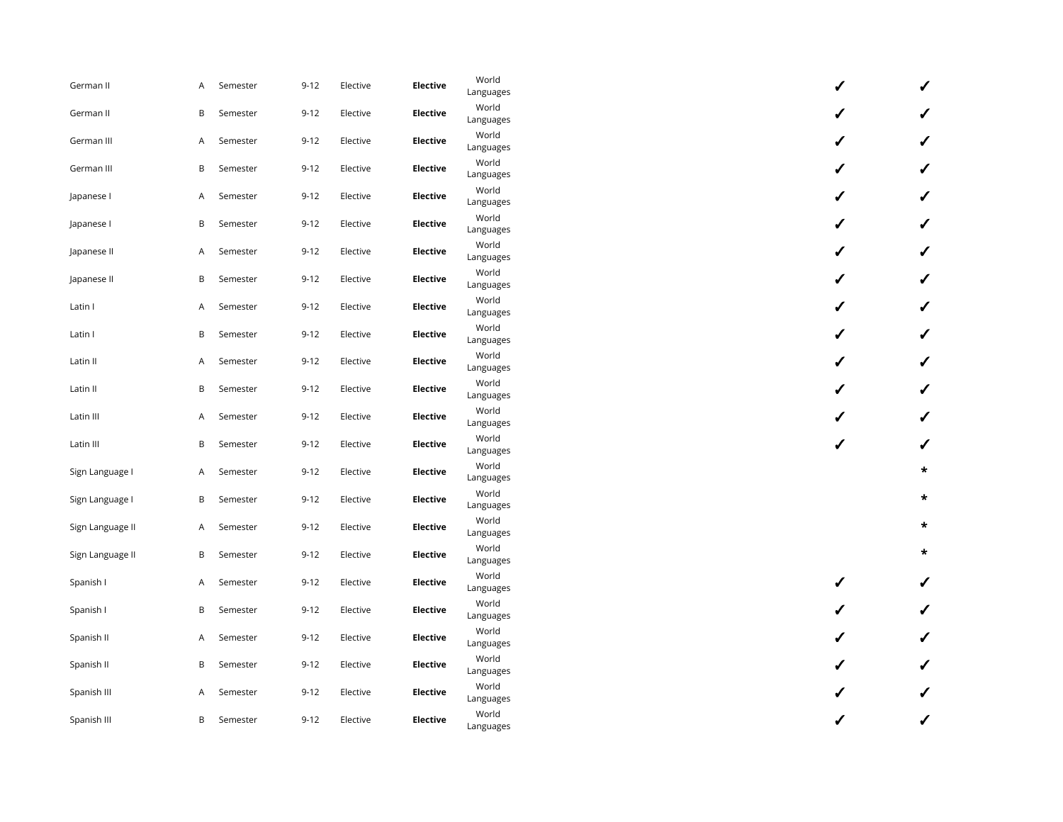| German II        | A | Semester | $9 - 12$ | Elective | <b>Elective</b> | World<br>Languages | ✔ | ✔            |
|------------------|---|----------|----------|----------|-----------------|--------------------|---|--------------|
| German II        | B | Semester | $9 - 12$ | Elective | <b>Elective</b> | World<br>Languages | J |              |
| German III       | A | Semester | $9 - 12$ | Elective | <b>Elective</b> | World<br>Languages | ✔ | ✓            |
| German III       | B | Semester | $9 - 12$ | Elective | <b>Elective</b> | World<br>Languages | ✔ | ✔            |
| Japanese I       | A | Semester | $9 - 12$ | Elective | <b>Elective</b> | World<br>Languages | ✔ | $\checkmark$ |
| Japanese I       | B | Semester | $9 - 12$ | Elective | <b>Elective</b> | World<br>Languages | ✔ | ✔            |
| Japanese II      | A | Semester | $9 - 12$ | Elective | <b>Elective</b> | World<br>Languages | ✔ | ✔            |
| Japanese II      | B | Semester | $9 - 12$ | Elective | <b>Elective</b> | World<br>Languages | ✔ | ✔            |
| Latin I          | A | Semester | $9 - 12$ | Elective | <b>Elective</b> | World<br>Languages | ✔ | ✔            |
| Latin I          | B | Semester | $9 - 12$ | Elective | <b>Elective</b> | World<br>Languages | ✔ | ✓            |
| Latin II         | A | Semester | $9 - 12$ | Elective | <b>Elective</b> | World<br>Languages | J | ✓            |
| Latin II         | В | Semester | $9 - 12$ | Elective | <b>Elective</b> | World<br>Languages | J | ✔            |
| Latin III        | A | Semester | $9 - 12$ | Elective | <b>Elective</b> | World<br>Languages | ✔ | $\checkmark$ |
| Latin III        | B | Semester | $9 - 12$ | Elective | <b>Elective</b> | World<br>Languages | ✔ | ✔            |
| Sign Language I  | A | Semester | $9 - 12$ | Elective | <b>Elective</b> | World<br>Languages |   | $\star$      |
| Sign Language I  | B | Semester | $9 - 12$ | Elective | Elective        | World<br>Languages |   | $\star$      |
| Sign Language II | A | Semester | $9 - 12$ | Elective | <b>Elective</b> | World<br>Languages |   | $\star$      |
| Sign Language II | B | Semester | $9 - 12$ | Elective | <b>Elective</b> | World<br>Languages |   | $\star$      |
| Spanish I        | A | Semester | $9 - 12$ | Elective | <b>Elective</b> | World<br>Languages | ✔ | ✔            |
| Spanish I        | B | Semester | $9 - 12$ | Elective | <b>Elective</b> | World<br>Languages | ✔ | ✔            |
| Spanish II       | A | Semester | $9 - 12$ | Elective | <b>Elective</b> | World<br>Languages |   | ✔            |
| Spanish II       | В | Semester | $9 - 12$ | Elective | <b>Elective</b> | World<br>Languages |   | ✔            |
| Spanish III      | A | Semester | $9 - 12$ | Elective | Elective        | World<br>Languages | ✔ | ✓            |
| Spanish III      | В | Semester | $9 - 12$ | Elective | <b>Elective</b> | World<br>Languages | J | ✔            |